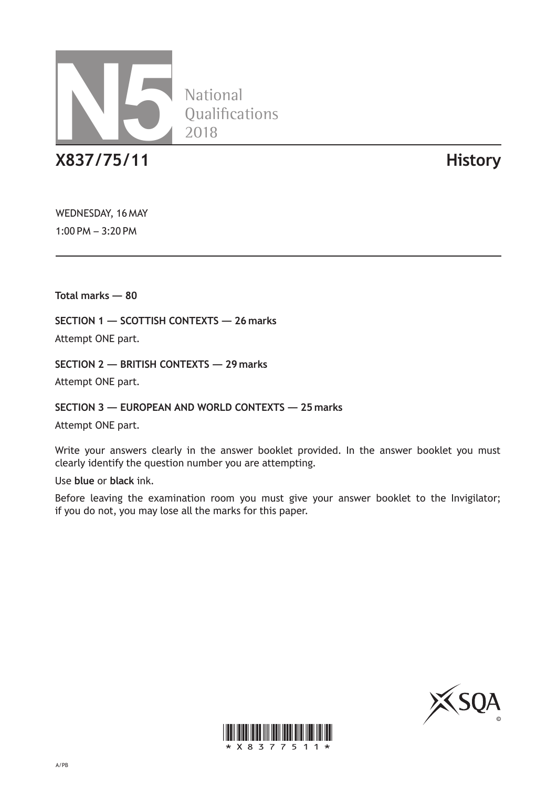

**National** Qualifications 2018

**X837/75/11 History**

WEDNESDAY, 16 MAY 1:00 PM – 3:20 PM

**Total marks — 80**

**SECTION 1 — SCOTTISH CONTEXTS — 26 marks**

Attempt ONE part.

**SECTION 2 — BRITISH CONTEXTS — 29 marks**

Attempt ONE part.

**SECTION 3 — EUROPEAN AND WORLD CONTEXTS — 25 marks**

Attempt ONE part.

Write your answers clearly in the answer booklet provided. In the answer booklet you must clearly identify the question number you are attempting.

Use **blue** or **black** ink.

Before leaving the examination room you must give your answer booklet to the Invigilator; if you do not, you may lose all the marks for this paper.



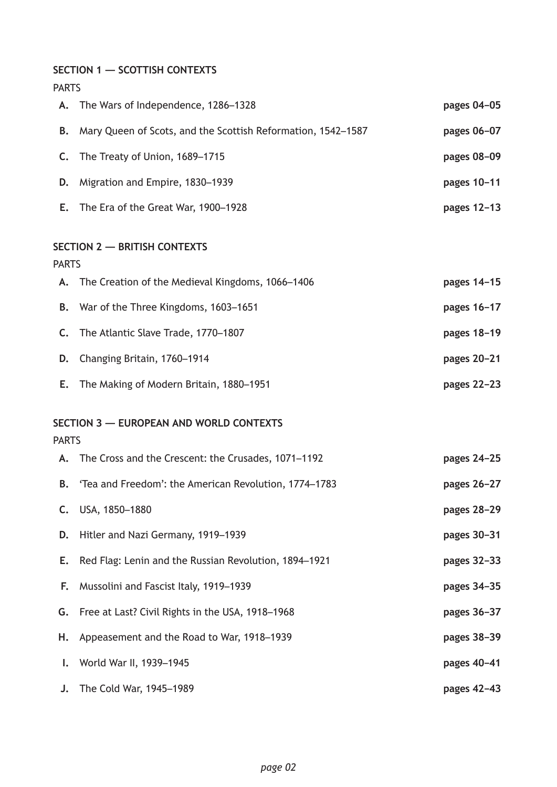**SECTION 1 — SCOTTISH CONTEXTS**

| <b>PARTS</b> |                                                              |             |
|--------------|--------------------------------------------------------------|-------------|
| А.           | The Wars of Independence, 1286-1328                          | pages 04-05 |
| В.           | Mary Queen of Scots, and the Scottish Reformation, 1542-1587 | pages 06-07 |
| C.           | The Treaty of Union, 1689-1715                               | pages 08-09 |
| D.           | Migration and Empire, 1830-1939                              | pages 10-11 |
| Е.           | The Era of the Great War, 1900-1928                          | pages 12-13 |
| <b>PARTS</b> | <b>SECTION 2 - BRITISH CONTEXTS</b>                          |             |
| А.           | The Creation of the Medieval Kingdoms, 1066-1406             | pages 14-15 |
| В.           | War of the Three Kingdoms, 1603-1651                         | pages 16-17 |
| C.           | The Atlantic Slave Trade, 1770-1807                          | pages 18-19 |
| D.           | Changing Britain, 1760-1914                                  | pages 20-21 |
| Е.           | The Making of Modern Britain, 1880-1951                      | pages 22-23 |
| <b>PARTS</b> | <b>SECTION 3 - EUROPEAN AND WORLD CONTEXTS</b>               |             |
| А.           | The Cross and the Crescent: the Crusades, 1071-1192          | pages 24-25 |
| В.           | 'Tea and Freedom': the American Revolution, 1774-1783        | pages 26-27 |
| C.           | USA, 1850-1880                                               | pages 28-29 |
| D.           | Hitler and Nazi Germany, 1919-1939                           | pages 30-31 |
| Е.           | Red Flag: Lenin and the Russian Revolution, 1894-1921        | pages 32-33 |
| F.           | Mussolini and Fascist Italy, 1919-1939                       | pages 34-35 |
| G.           | Free at Last? Civil Rights in the USA, 1918-1968             | pages 36-37 |
| н.           | Appeasement and the Road to War, 1918-1939                   | pages 38-39 |
| I.           | World War II, 1939-1945                                      | pages 40-41 |
| J.           | The Cold War, 1945-1989                                      | pages 42-43 |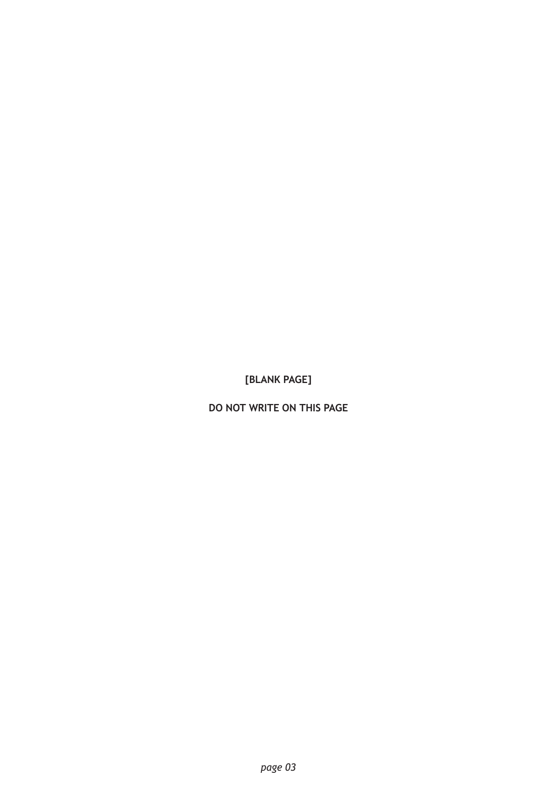**[BLANK PAGE]**

**DO NOT WRITE ON THIS PAGE**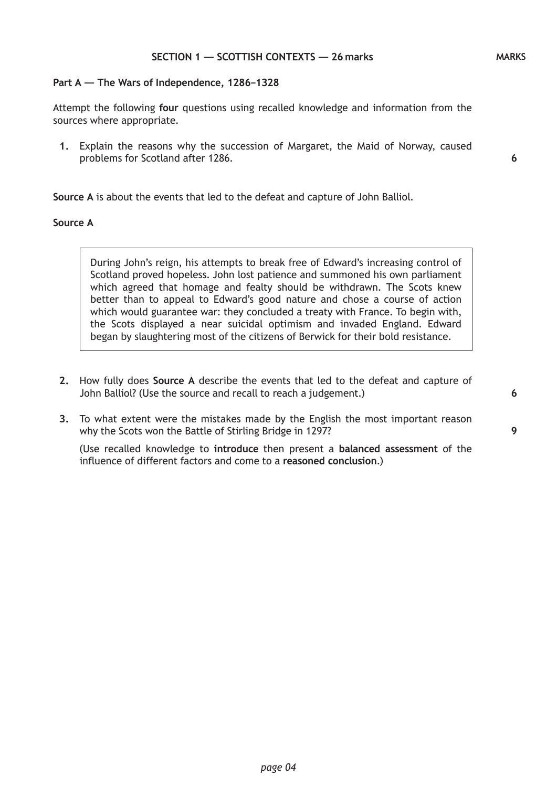### **Part A — The Wars of Independence, 1286–1328**

Attempt the following **four** questions using recalled knowledge and information from the sources where appropriate.

**1.** Explain the reasons why the succession of Margaret, the Maid of Norway, caused problems for Scotland after 1286.

**Source A** is about the events that led to the defeat and capture of John Balliol.

## **Source A**

During John's reign, his attempts to break free of Edward's increasing control of Scotland proved hopeless. John lost patience and summoned his own parliament which agreed that homage and fealty should be withdrawn. The Scots knew better than to appeal to Edward's good nature and chose a course of action which would guarantee war: they concluded a treaty with France. To begin with, the Scots displayed a near suicidal optimism and invaded England. Edward began by slaughtering most of the citizens of Berwick for their bold resistance.

- **2.** How fully does **Source A** describe the events that led to the defeat and capture of John Balliol? (Use the source and recall to reach a judgement.)
- **3.** To what extent were the mistakes made by the English the most important reason why the Scots won the Battle of Stirling Bridge in 1297?

(Use recalled knowledge to **introduce** then present a **balanced assessment** of the influence of different factors and come to a **reasoned conclusion**.)

**6**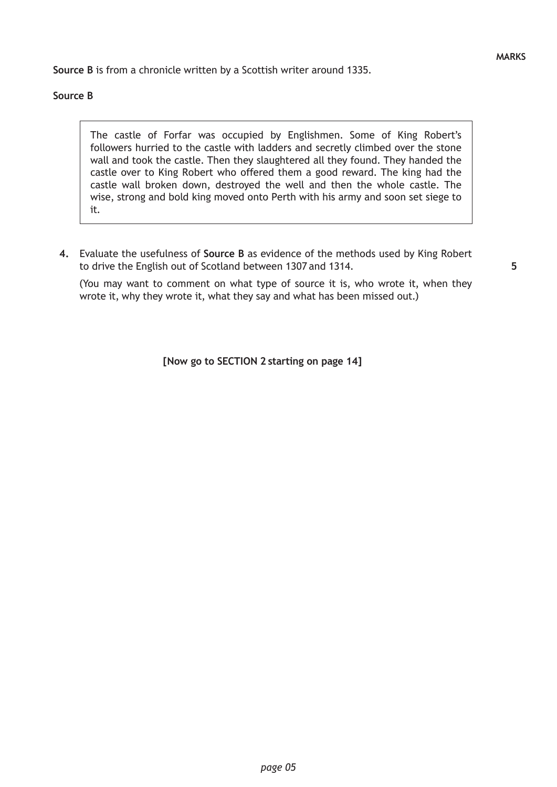**Source B** is from a chronicle written by a Scottish writer around 1335.

## **Source B**

The castle of Forfar was occupied by Englishmen. Some of King Robert's followers hurried to the castle with ladders and secretly climbed over the stone wall and took the castle. Then they slaughtered all they found. They handed the castle over to King Robert who offered them a good reward. The king had the castle wall broken down, destroyed the well and then the whole castle. The wise, strong and bold king moved onto Perth with his army and soon set siege to it.

**4.** Evaluate the usefulness of **Source B** as evidence of the methods used by King Robert to drive the English out of Scotland between 1307 and 1314.

(You may want to comment on what type of source it is, who wrote it, when they wrote it, why they wrote it, what they say and what has been missed out.)

**[Now go to SECTION 2 starting on page 14]**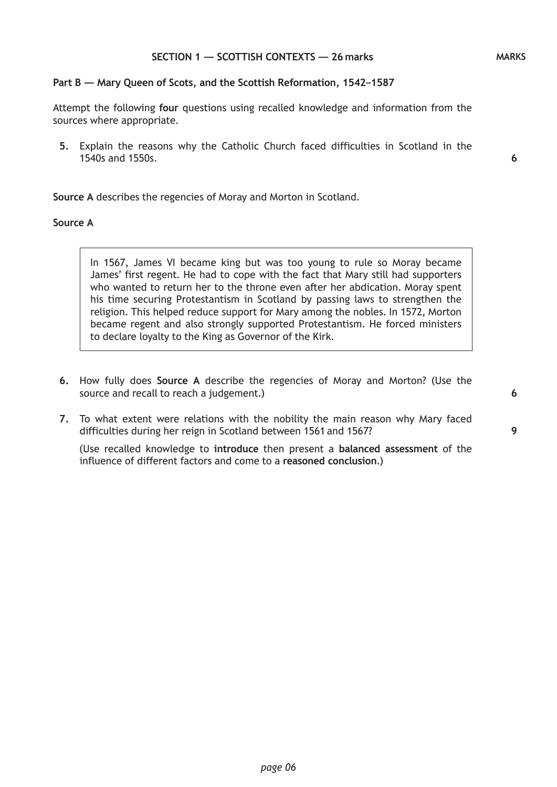### **Part B — Mary Queen of Scots, and the Scottish Reformation, 1542–1587**

Attempt the following **four** questions using recalled knowledge and information from the sources where appropriate.

**5.** Explain the reasons why the Catholic Church faced difficulties in Scotland in the 1540s and 1550s.

**Source A** describes the regencies of Moray and Morton in Scotland.

## **Source A**

In 1567, James VI became king but was too young to rule so Moray became James' first regent. He had to cope with the fact that Mary still had supporters who wanted to return her to the throne even after her abdication. Moray spent his time securing Protestantism in Scotland by passing laws to strengthen the religion. This helped reduce support for Mary among the nobles. In 1572, Morton became regent and also strongly supported Protestantism. He forced ministers to declare loyalty to the King as Governor of the Kirk.

- **6.** How fully does **Source A** describe the regencies of Moray and Morton? (Use the source and recall to reach a judgement.)
- **7.** To what extent were relations with the nobility the main reason why Mary faced difficulties during her reign in Scotland between 1561 and 1567?

(Use recalled knowledge to **introduce** then present a **balanced assessment** of the influence of different factors and come to a **reasoned conclusion**.)

**6**

**9**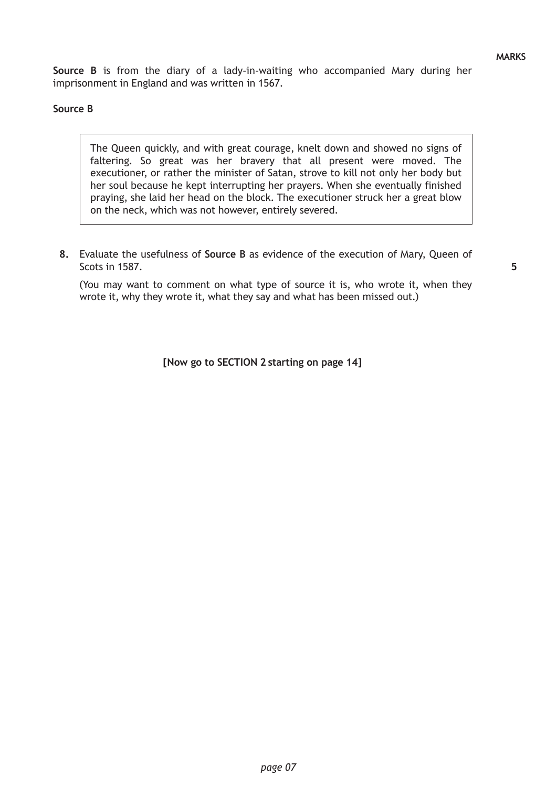**Source B** is from the diary of a lady-in-waiting who accompanied Mary during her imprisonment in England and was written in 1567.

## **Source B**

The Queen quickly, and with great courage, knelt down and showed no signs of faltering. So great was her bravery that all present were moved. The executioner, or rather the minister of Satan, strove to kill not only her body but her soul because he kept interrupting her prayers. When she eventually finished praying, she laid her head on the block. The executioner struck her a great blow on the neck, which was not however, entirely severed.

**8.** Evaluate the usefulness of **Source B** as evidence of the execution of Mary, Queen of Scots in 1587.

(You may want to comment on what type of source it is, who wrote it, when they wrote it, why they wrote it, what they say and what has been missed out.)

**[Now go to SECTION 2 starting on page 14]**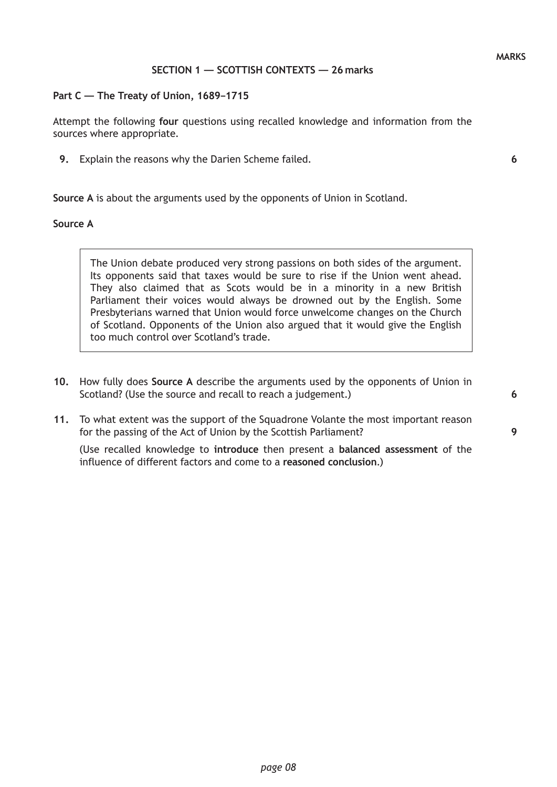### **SECTION 1 — SCOTTISH CONTEXTS — 26 marks**

#### **Part C — The Treaty of Union, 1689–1715**

Attempt the following **four** questions using recalled knowledge and information from the sources where appropriate.

**9.** Explain the reasons why the Darien Scheme failed.

**Source A** is about the arguments used by the opponents of Union in Scotland.

## **Source A**

The Union debate produced very strong passions on both sides of the argument. Its opponents said that taxes would be sure to rise if the Union went ahead. They also claimed that as Scots would be in a minority in a new British Parliament their voices would always be drowned out by the English. Some Presbyterians warned that Union would force unwelcome changes on the Church of Scotland. Opponents of the Union also argued that it would give the English too much control over Scotland's trade.

- **10.** How fully does **Source A** describe the arguments used by the opponents of Union in Scotland? (Use the source and recall to reach a judgement.)
- **11.** To what extent was the support of the Squadrone Volante the most important reason for the passing of the Act of Union by the Scottish Parliament?

(Use recalled knowledge to **introduce** then present a **balanced assessment** of the influence of different factors and come to a **reasoned conclusion**.)

*page 08*

**6**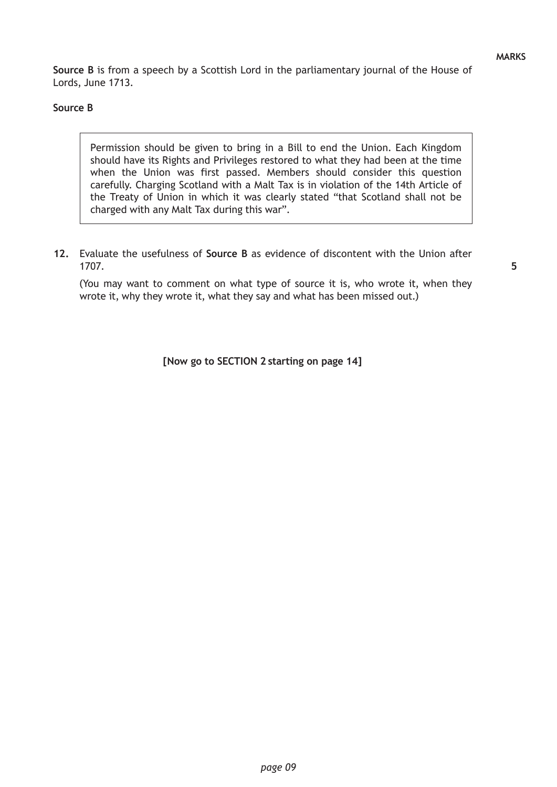**Source B** is from a speech by a Scottish Lord in the parliamentary journal of the House of Lords, June 1713.

## **Source B**

Permission should be given to bring in a Bill to end the Union. Each Kingdom should have its Rights and Privileges restored to what they had been at the time when the Union was first passed. Members should consider this question carefully. Charging Scotland with a Malt Tax is in violation of the 14th Article of the Treaty of Union in which it was clearly stated "that Scotland shall not be charged with any Malt Tax during this war".

**12.** Evaluate the usefulness of **Source B** as evidence of discontent with the Union after 1707.

(You may want to comment on what type of source it is, who wrote it, when they wrote it, why they wrote it, what they say and what has been missed out.)

**[Now go to SECTION 2 starting on page 14]**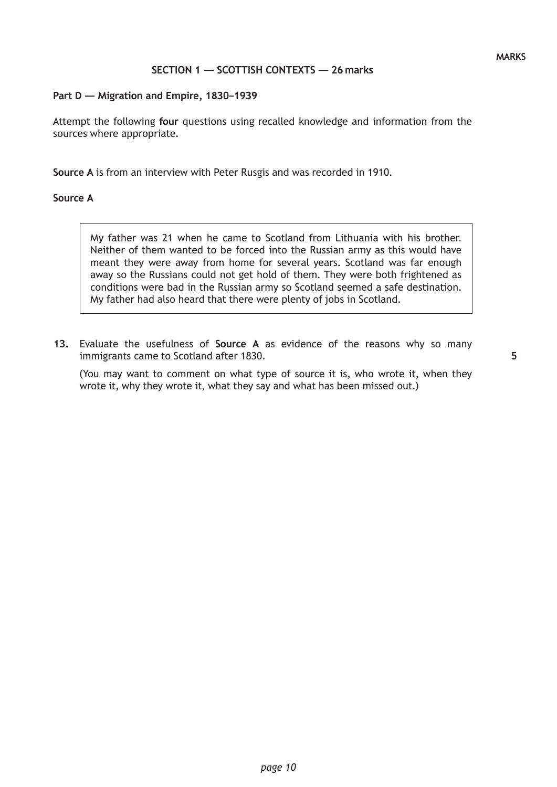# **SECTION 1 — SCOTTISH CONTEXTS — 26 marks**

### **Part D — Migration and Empire, 1830–1939**

Attempt the following **four** questions using recalled knowledge and information from the sources where appropriate.

**Source A** is from an interview with Peter Rusgis and was recorded in 1910.

### **Source A**

My father was 21 when he came to Scotland from Lithuania with his brother. Neither of them wanted to be forced into the Russian army as this would have meant they were away from home for several years. Scotland was far enough away so the Russians could not get hold of them. They were both frightened as conditions were bad in the Russian army so Scotland seemed a safe destination. My father had also heard that there were plenty of jobs in Scotland.

**13.** Evaluate the usefulness of **Source A** as evidence of the reasons why so many immigrants came to Scotland after 1830.

(You may want to comment on what type of source it is, who wrote it, when they wrote it, why they wrote it, what they say and what has been missed out.)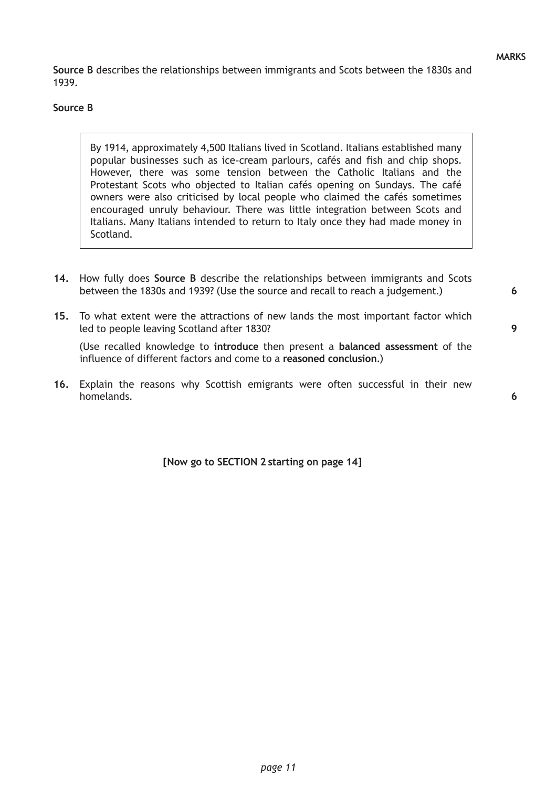**Source B** describes the relationships between immigrants and Scots between the 1830s and 1939.

## **Source B**

By 1914, approximately 4,500 Italians lived in Scotland. Italians established many popular businesses such as ice-cream parlours, cafés and fish and chip shops. However, there was some tension between the Catholic Italians and the Protestant Scots who objected to Italian cafés opening on Sundays. The café owners were also criticised by local people who claimed the cafés sometimes encouraged unruly behaviour. There was little integration between Scots and Italians. Many Italians intended to return to Italy once they had made money in Scotland.

- **14.** How fully does **Source B** describe the relationships between immigrants and Scots between the 1830s and 1939? (Use the source and recall to reach a judgement.)
- **15.** To what extent were the attractions of new lands the most important factor which led to people leaving Scotland after 1830?

(Use recalled knowledge to **introduce** then present a **balanced assessment** of the influence of different factors and come to a **reasoned conclusion**.)

**16.** Explain the reasons why Scottish emigrants were often successful in their new homelands.

**[Now go to SECTION 2 starting on page 14]**

**6**

**9**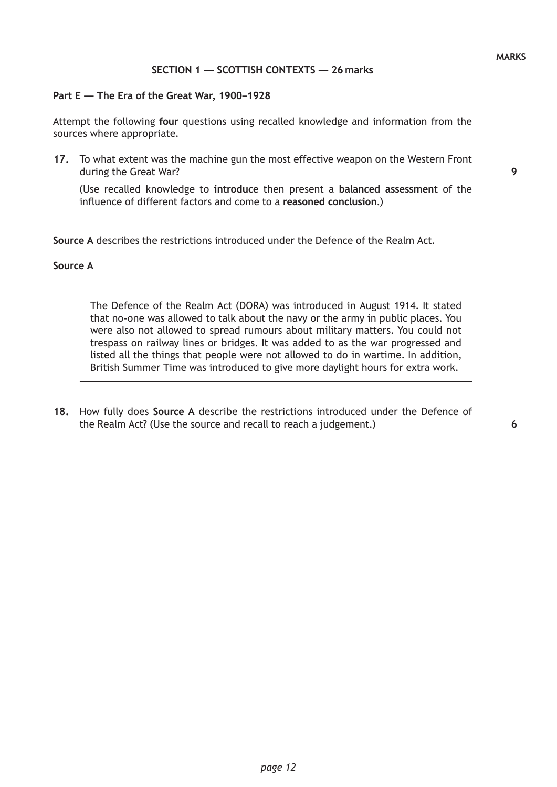## **SECTION 1 — SCOTTISH CONTEXTS — 26 marks**

#### **Part E — The Era of the Great War, 1900–1928**

Attempt the following **four** questions using recalled knowledge and information from the sources where appropriate.

**17.** To what extent was the machine gun the most effective weapon on the Western Front during the Great War?

(Use recalled knowledge to **introduce** then present a **balanced assessment** of the influence of different factors and come to a **reasoned conclusion**.)

**Source A** describes the restrictions introduced under the Defence of the Realm Act.

### **Source A**

The Defence of the Realm Act (DORA) was introduced in August 1914. It stated that no-one was allowed to talk about the navy or the army in public places. You were also not allowed to spread rumours about military matters. You could not trespass on railway lines or bridges. It was added to as the war progressed and listed all the things that people were not allowed to do in wartime. In addition, British Summer Time was introduced to give more daylight hours for extra work.

**18.** How fully does **Source A** describe the restrictions introduced under the Defence of the Realm Act? (Use the source and recall to reach a judgement.)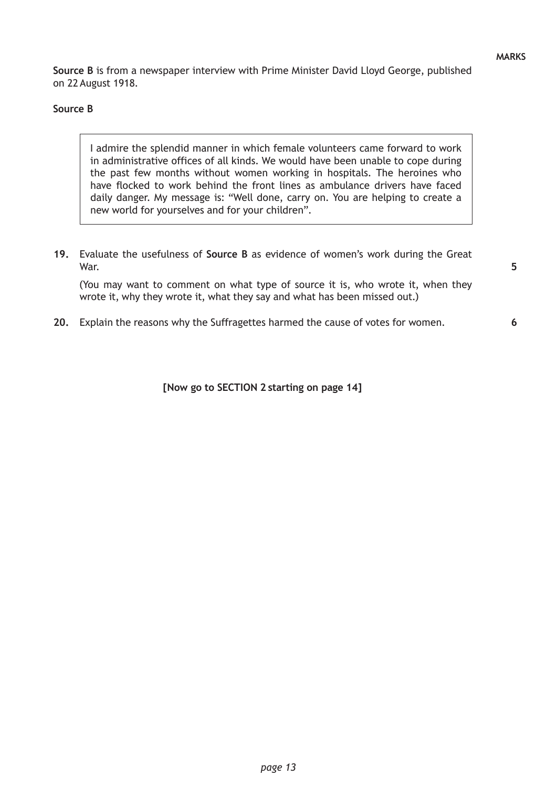**6**

**Source B** is from a newspaper interview with Prime Minister David Lloyd George, published on 22 August 1918.

## **Source B**

I admire the splendid manner in which female volunteers came forward to work in administrative offices of all kinds. We would have been unable to cope during the past few months without women working in hospitals. The heroines who have flocked to work behind the front lines as ambulance drivers have faced daily danger. My message is: "Well done, carry on. You are helping to create a new world for yourselves and for your children".

**19.** Evaluate the usefulness of **Source B** as evidence of women's work during the Great War.

(You may want to comment on what type of source it is, who wrote it, when they wrote it, why they wrote it, what they say and what has been missed out.)

**20.** Explain the reasons why the Suffragettes harmed the cause of votes for women.

**[Now go to SECTION 2 starting on page 14]**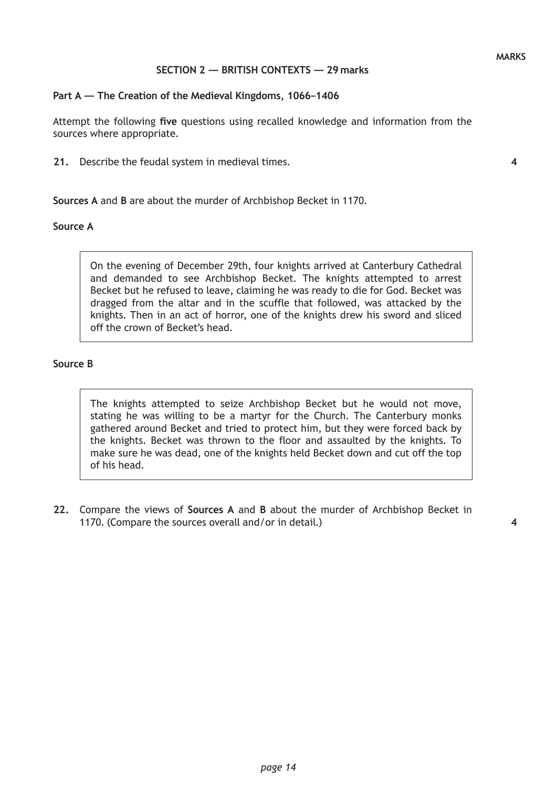## **SECTION 2 — BRITISH CONTEXTS — 29 marks**

### **Part A — The Creation of the Medieval Kingdoms, 1066–1406**

Attempt the following **five** questions using recalled knowledge and information from the sources where appropriate.

**21.** Describe the feudal system in medieval times.

### **Sources A** and **B** are about the murder of Archbishop Becket in 1170.

#### **Source A**

On the evening of December 29th, four knights arrived at Canterbury Cathedral and demanded to see Archbishop Becket. The knights attempted to arrest Becket but he refused to leave, claiming he was ready to die for God. Becket was dragged from the altar and in the scuffle that followed, was attacked by the knights. Then in an act of horror, one of the knights drew his sword and sliced off the crown of Becket's head.

## **Source B**

The knights attempted to seize Archbishop Becket but he would not move, stating he was willing to be a martyr for the Church. The Canterbury monks gathered around Becket and tried to protect him, but they were forced back by the knights. Becket was thrown to the floor and assaulted by the knights. To make sure he was dead, one of the knights held Becket down and cut off the top of his head.

**22.** Compare the views of **Sources A** and **B** about the murder of Archbishop Becket in 1170. (Compare the sources overall and/or in detail.)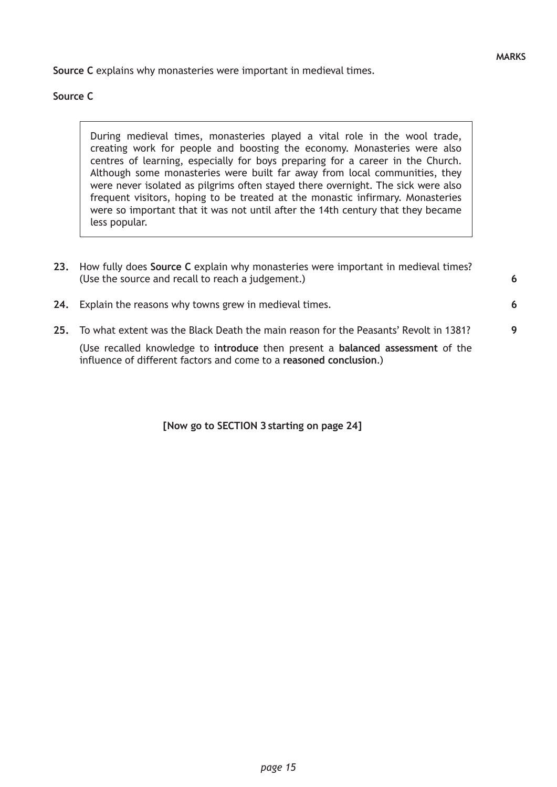**6**

**Source C** explains why monasteries were important in medieval times.

## **Source C**

During medieval times, monasteries played a vital role in the wool trade, creating work for people and boosting the economy. Monasteries were also centres of learning, especially for boys preparing for a career in the Church. Although some monasteries were built far away from local communities, they were never isolated as pilgrims often stayed there overnight. The sick were also frequent visitors, hoping to be treated at the monastic infirmary. Monasteries were so important that it was not until after the 14th century that they became less popular.

- **23.** How fully does **Source C** explain why monasteries were important in medieval times? (Use the source and recall to reach a judgement.)
- **24.** Explain the reasons why towns grew in medieval times.
- **25.** To what extent was the Black Death the main reason for the Peasants' Revolt in 1381? (Use recalled knowledge to **introduce** then present a **balanced assessment** of the influence of different factors and come to a **reasoned conclusion**.) **9**

**[Now go to SECTION 3 starting on page 24]**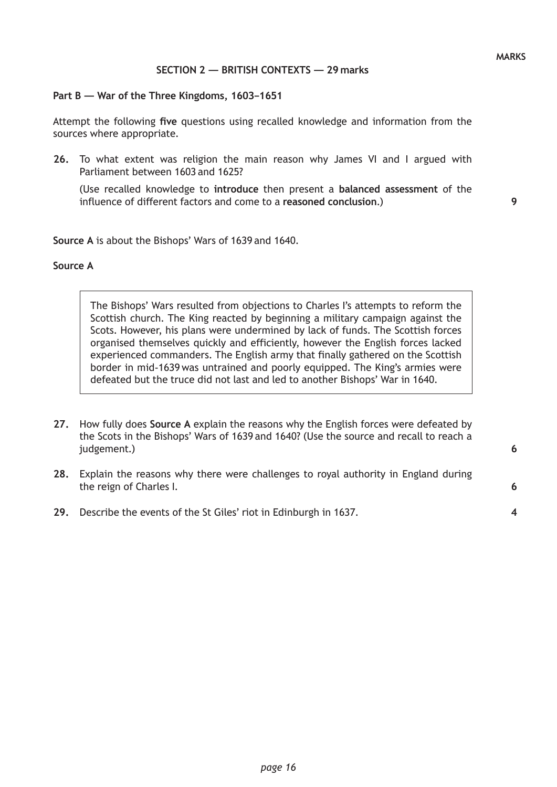**6**

**6**

**4**

## **SECTION 2 — BRITISH CONTEXTS — 29 marks**

#### **Part B — War of the Three Kingdoms, 1603–1651**

Attempt the following **five** questions using recalled knowledge and information from the sources where appropriate.

**26.** To what extent was religion the main reason why James VI and I argued with Parliament between 1603 and 1625?

 (Use recalled knowledge to **introduce** then present a **balanced assessment** of the influence of different factors and come to a **reasoned conclusion**.)

**Source A** is about the Bishops' Wars of 1639 and 1640.

#### **Source A**

The Bishops' Wars resulted from objections to Charles I's attempts to reform the Scottish church. The King reacted by beginning a military campaign against the Scots. However, his plans were undermined by lack of funds. The Scottish forces organised themselves quickly and efficiently, however the English forces lacked experienced commanders. The English army that finally gathered on the Scottish border in mid-1639 was untrained and poorly equipped. The King's armies were defeated but the truce did not last and led to another Bishops' War in 1640.

- **27.** How fully does **Source A** explain the reasons why the English forces were defeated by the Scots in the Bishops' Wars of 1639 and 1640? (Use the source and recall to reach a judgement.)
- **28.** Explain the reasons why there were challenges to royal authority in England during the reign of Charles I.
- **29.** Describe the events of the St Giles' riot in Edinburgh in 1637.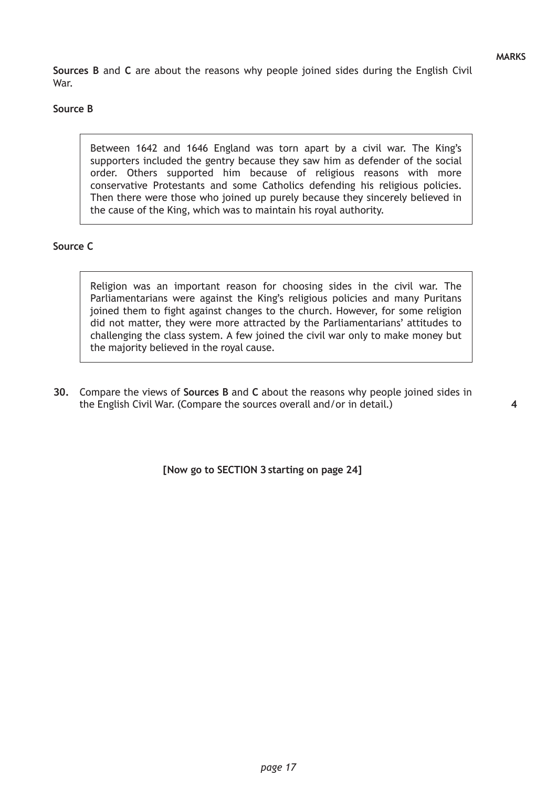**Sources B** and **C** are about the reasons why people joined sides during the English Civil War.

## **Source B**

Between 1642 and 1646 England was torn apart by a civil war. The King's supporters included the gentry because they saw him as defender of the social order. Others supported him because of religious reasons with more conservative Protestants and some Catholics defending his religious policies. Then there were those who joined up purely because they sincerely believed in the cause of the King, which was to maintain his royal authority.

## **Source C**

Religion was an important reason for choosing sides in the civil war. The Parliamentarians were against the King's religious policies and many Puritans joined them to fight against changes to the church. However, for some religion did not matter, they were more attracted by the Parliamentarians' attitudes to challenging the class system. A few joined the civil war only to make money but the majority believed in the royal cause.

**30.** Compare the views of **Sources B** and **C** about the reasons why people joined sides in the English Civil War. (Compare the sources overall and/or in detail.)

**4**

**[Now go to SECTION 3 starting on page 24]**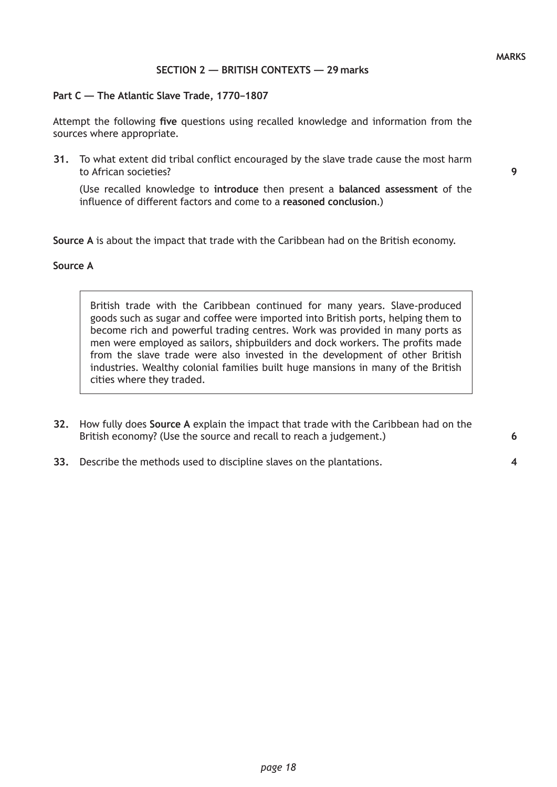## **SECTION 2 — BRITISH CONTEXTS — 29 marks**

### **Part C — The Atlantic Slave Trade, 1770–1807**

Attempt the following **five** questions using recalled knowledge and information from the sources where appropriate.

**31.** To what extent did tribal conflict encouraged by the slave trade cause the most harm to African societies?

(Use recalled knowledge to **introduce** then present a **balanced assessment** of the influence of different factors and come to a **reasoned conclusion**.)

**Source A** is about the impact that trade with the Caribbean had on the British economy.

#### **Source A**

British trade with the Caribbean continued for many years. Slave-produced goods such as sugar and coffee were imported into British ports, helping them to become rich and powerful trading centres. Work was provided in many ports as men were employed as sailors, shipbuilders and dock workers. The profits made from the slave trade were also invested in the development of other British industries. Wealthy colonial families built huge mansions in many of the British cities where they traded.

- **32.** How fully does **Source A** explain the impact that trade with the Caribbean had on the British economy? (Use the source and recall to reach a judgement.)
- **33.** Describe the methods used to discipline slaves on the plantations.

**9**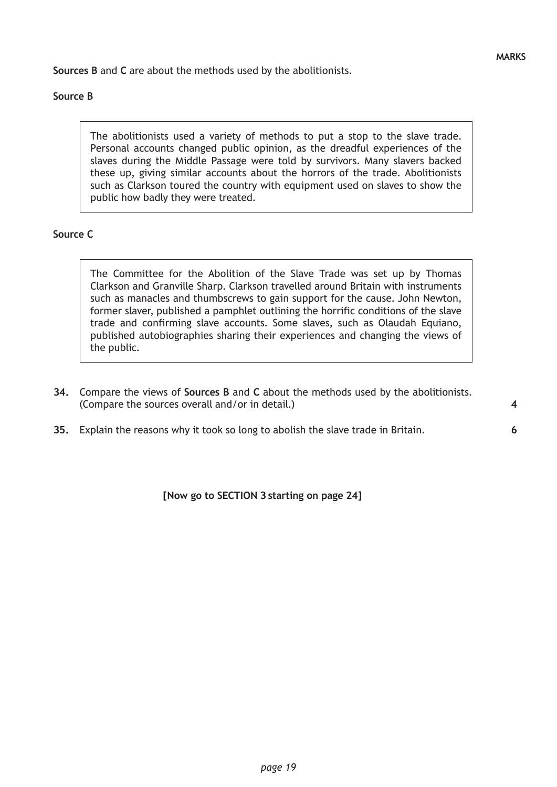**6**

**Sources B** and **C** are about the methods used by the abolitionists.

## **Source B**

The abolitionists used a variety of methods to put a stop to the slave trade. Personal accounts changed public opinion, as the dreadful experiences of the slaves during the Middle Passage were told by survivors. Many slavers backed these up, giving similar accounts about the horrors of the trade. Abolitionists such as Clarkson toured the country with equipment used on slaves to show the public how badly they were treated.

## **Source C**

The Committee for the Abolition of the Slave Trade was set up by Thomas Clarkson and Granville Sharp. Clarkson travelled around Britain with instruments such as manacles and thumbscrews to gain support for the cause. John Newton, former slaver, published a pamphlet outlining the horrific conditions of the slave trade and confirming slave accounts. Some slaves, such as Olaudah Equiano, published autobiographies sharing their experiences and changing the views of the public.

- **34.** Compare the views of **Sources B** and **C** about the methods used by the abolitionists. (Compare the sources overall and/or in detail.)
- **35.** Explain the reasons why it took so long to abolish the slave trade in Britain.

**[Now go to SECTION 3 starting on page 24]**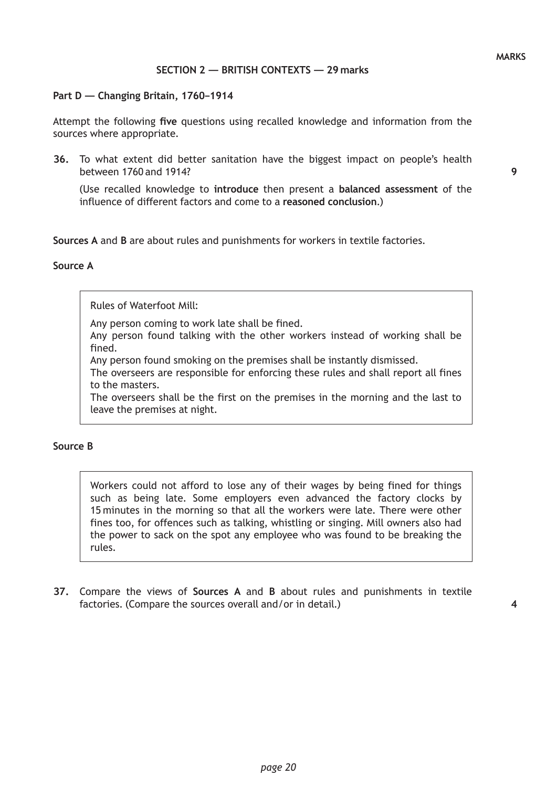### **SECTION 2 — BRITISH CONTEXTS — 29 marks**

#### **Part D — Changing Britain, 1760–1914**

Attempt the following **five** questions using recalled knowledge and information from the sources where appropriate.

**36.** To what extent did better sanitation have the biggest impact on people's health between 1760 and 1914?

(Use recalled knowledge to **introduce** then present a **balanced assessment** of the influence of different factors and come to a **reasoned conclusion**.)

**Sources A** and **B** are about rules and punishments for workers in textile factories.

#### **Source A**

Rules of Waterfoot Mill:

Any person coming to work late shall be fined.

Any person found talking with the other workers instead of working shall be fined.

Any person found smoking on the premises shall be instantly dismissed.

The overseers are responsible for enforcing these rules and shall report all fines to the masters.

The overseers shall be the first on the premises in the morning and the last to leave the premises at night.

### **Source B**

Workers could not afford to lose any of their wages by being fined for things such as being late. Some employers even advanced the factory clocks by 15 minutes in the morning so that all the workers were late. There were other fines too, for offences such as talking, whistling or singing. Mill owners also had the power to sack on the spot any employee who was found to be breaking the rules.

**37.** Compare the views of **Sources A** and **B** about rules and punishments in textile factories. (Compare the sources overall and/or in detail.)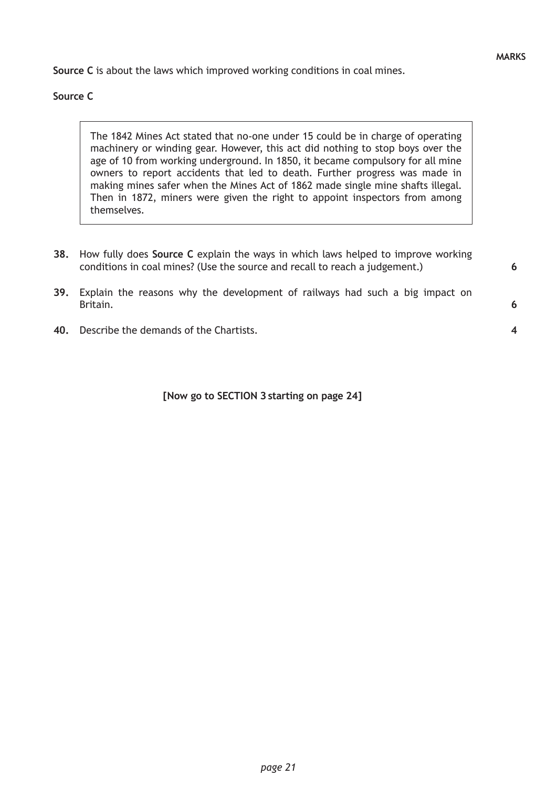**6**

**4**

**Source C** is about the laws which improved working conditions in coal mines.

## **Source C**

The 1842 Mines Act stated that no-one under 15 could be in charge of operating machinery or winding gear. However, this act did nothing to stop boys over the age of 10 from working underground. In 1850, it became compulsory for all mine owners to report accidents that led to death. Further progress was made in making mines safer when the Mines Act of 1862 made single mine shafts illegal. Then in 1872, miners were given the right to appoint inspectors from among themselves.

- **38.** How fully does **Source C** explain the ways in which laws helped to improve working conditions in coal mines? (Use the source and recall to reach a judgement.)
- **39.** Explain the reasons why the development of railways had such a big impact on Britain.
- **40.** Describe the demands of the Chartists.

**[Now go to SECTION 3 starting on page 24]**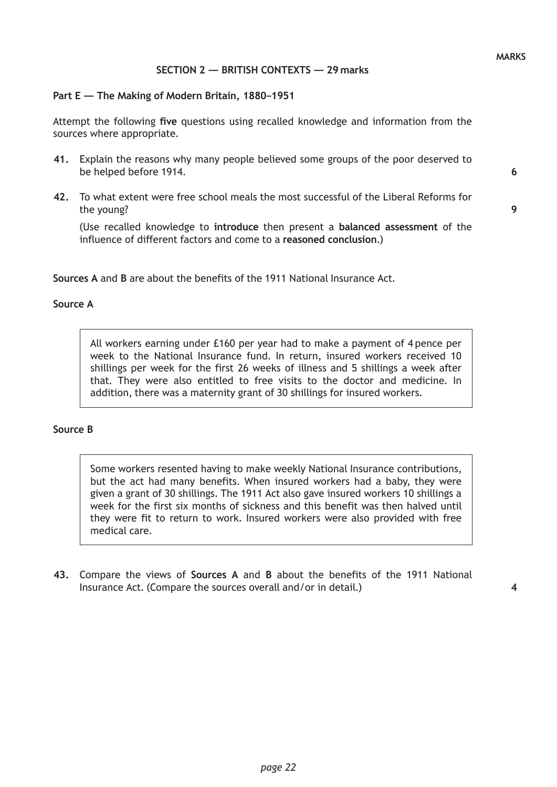**9**

## **SECTION 2 — BRITISH CONTEXTS — 29 marks**

#### **Part E — The Making of Modern Britain, 1880–1951**

Attempt the following **five** questions using recalled knowledge and information from the sources where appropriate.

- **41.** Explain the reasons why many people believed some groups of the poor deserved to be helped before 1914.
- **42.** To what extent were free school meals the most successful of the Liberal Reforms for the young?

(Use recalled knowledge to **introduce** then present a **balanced assessment** of the influence of different factors and come to a **reasoned conclusion**.)

**Sources A** and **B** are about the benefits of the 1911 National Insurance Act.

### **Source A**

All workers earning under £160 per year had to make a payment of 4 pence per week to the National Insurance fund. In return, insured workers received 10 shillings per week for the first 26 weeks of illness and 5 shillings a week after that. They were also entitled to free visits to the doctor and medicine. In addition, there was a maternity grant of 30 shillings for insured workers.

### **Source B**

Some workers resented having to make weekly National Insurance contributions, but the act had many benefits. When insured workers had a baby, they were given a grant of 30 shillings. The 1911 Act also gave insured workers 10 shillings a week for the first six months of sickness and this benefit was then halved until they were fit to return to work. Insured workers were also provided with free medical care.

**43.** Compare the views of **Sources A** and **B** about the benefits of the 1911 National Insurance Act. (Compare the sources overall and/or in detail.)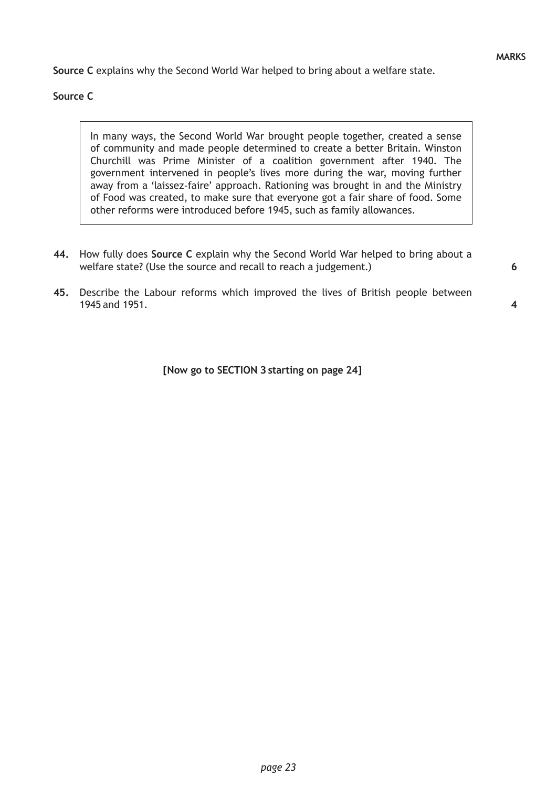**Source C** explains why the Second World War helped to bring about a welfare state.

## **Source C**

In many ways, the Second World War brought people together, created a sense of community and made people determined to create a better Britain. Winston Churchill was Prime Minister of a coalition government after 1940. The government intervened in people's lives more during the war, moving further away from a 'laissez-faire' approach. Rationing was brought in and the Ministry of Food was created, to make sure that everyone got a fair share of food. Some other reforms were introduced before 1945, such as family allowances.

- **44.** How fully does **Source C** explain why the Second World War helped to bring about a welfare state? (Use the source and recall to reach a judgement.)
- **45.** Describe the Labour reforms which improved the lives of British people between 1945 and 1951.

**4**

**[Now go to SECTION 3 starting on page 24]**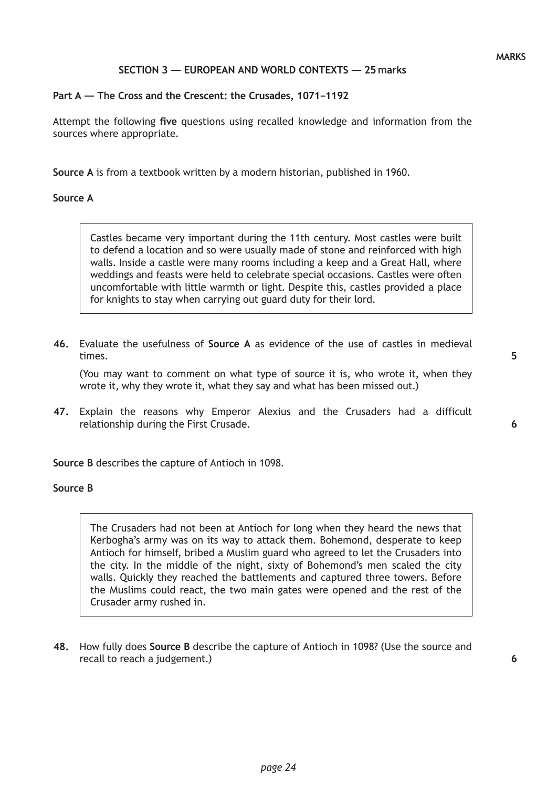**6**

## **SECTION 3 — EUROPEAN AND WORLD CONTEXTS — 25 marks**

### **Part A — The Cross and the Crescent: the Crusades, 1071–1192**

Attempt the following **five** questions using recalled knowledge and information from the sources where appropriate.

**Source A** is from a textbook written by a modern historian, published in 1960.

#### **Source A**

Castles became very important during the 11th century. Most castles were built to defend a location and so were usually made of stone and reinforced with high walls. Inside a castle were many rooms including a keep and a Great Hall, where weddings and feasts were held to celebrate special occasions. Castles were often uncomfortable with little warmth or light. Despite this, castles provided a place for knights to stay when carrying out guard duty for their lord.

**46.** Evaluate the usefulness of **Source A** as evidence of the use of castles in medieval times.

(You may want to comment on what type of source it is, who wrote it, when they wrote it, why they wrote it, what they say and what has been missed out.)

**47.** Explain the reasons why Emperor Alexius and the Crusaders had a difficult relationship during the First Crusade.

**Source B** describes the capture of Antioch in 1098.

#### **Source B**

The Crusaders had not been at Antioch for long when they heard the news that Kerbogha's army was on its way to attack them. Bohemond, desperate to keep Antioch for himself, bribed a Muslim guard who agreed to let the Crusaders into the city. In the middle of the night, sixty of Bohemond's men scaled the city walls. Quickly they reached the battlements and captured three towers. Before the Muslims could react, the two main gates were opened and the rest of the Crusader army rushed in.

**48.** How fully does **Source B** describe the capture of Antioch in 1098? (Use the source and recall to reach a judgement.)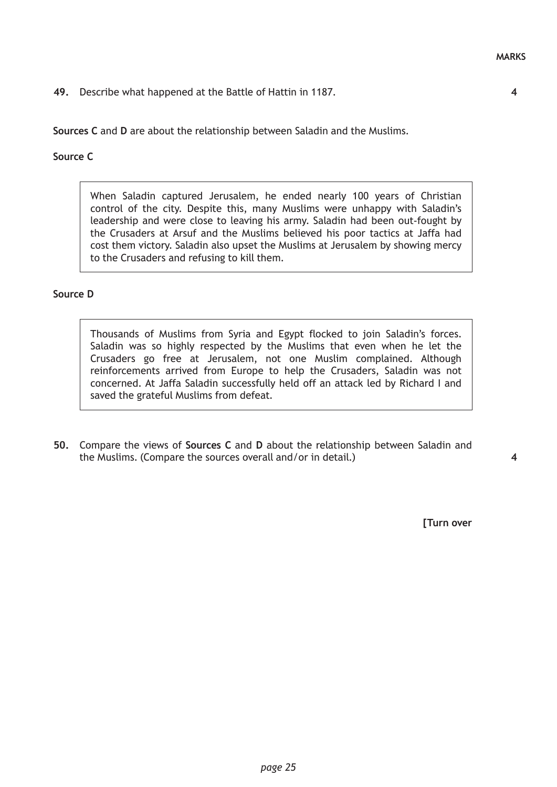**49.** Describe what happened at the Battle of Hattin in 1187.

**Sources C** and **D** are about the relationship between Saladin and the Muslims.

### **Source C**

When Saladin captured Jerusalem, he ended nearly 100 years of Christian control of the city. Despite this, many Muslims were unhappy with Saladin's leadership and were close to leaving his army. Saladin had been out-fought by the Crusaders at Arsuf and the Muslims believed his poor tactics at Jaffa had cost them victory. Saladin also upset the Muslims at Jerusalem by showing mercy to the Crusaders and refusing to kill them.

## **Source D**

Thousands of Muslims from Syria and Egypt flocked to join Saladin's forces. Saladin was so highly respected by the Muslims that even when he let the Crusaders go free at Jerusalem, not one Muslim complained. Although reinforcements arrived from Europe to help the Crusaders, Saladin was not concerned. At Jaffa Saladin successfully held off an attack led by Richard I and saved the grateful Muslims from defeat.

**50.** Compare the views of **Sources C** and **D** about the relationship between Saladin and the Muslims. (Compare the sources overall and/or in detail.)

**4**

**[Turn over**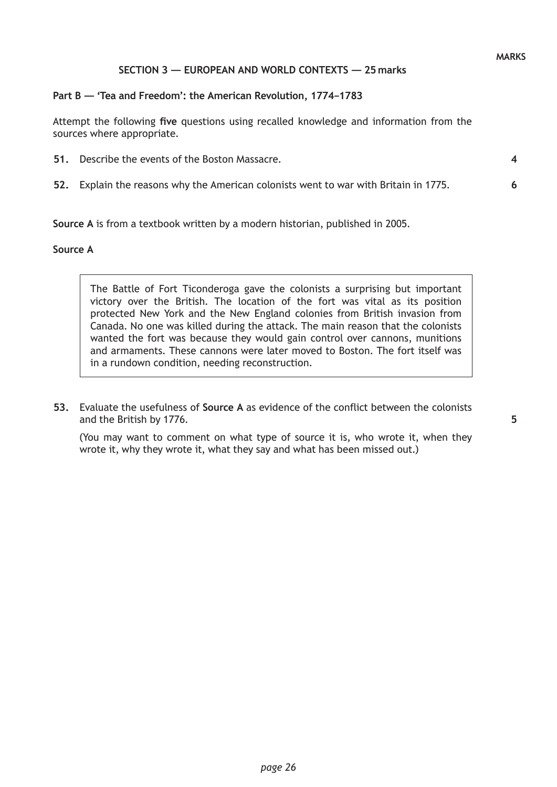**6**

## **SECTION 3 — EUROPEAN AND WORLD CONTEXTS — 25 marks**

#### **Part B — 'Tea and Freedom': the American Revolution, 1774–1783**

Attempt the following **five** questions using recalled knowledge and information from the sources where appropriate.

- **51.** Describe the events of the Boston Massacre.
- **52.** Explain the reasons why the American colonists went to war with Britain in 1775.

**Source A** is from a textbook written by a modern historian, published in 2005.

#### **Source A**

The Battle of Fort Ticonderoga gave the colonists a surprising but important victory over the British. The location of the fort was vital as its position protected New York and the New England colonies from British invasion from Canada. No one was killed during the attack. The main reason that the colonists wanted the fort was because they would gain control over cannons, munitions and armaments. These cannons were later moved to Boston. The fort itself was in a rundown condition, needing reconstruction.

**53.** Evaluate the usefulness of **Source A** as evidence of the conflict between the colonists and the British by 1776.

(You may want to comment on what type of source it is, who wrote it, when they wrote it, why they wrote it, what they say and what has been missed out.)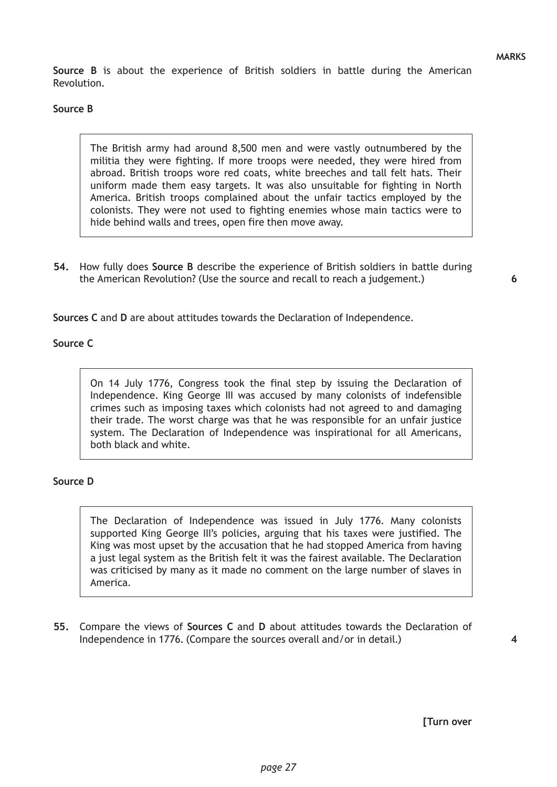**Source B** is about the experience of British soldiers in battle during the American Revolution.

## **Source B**

The British army had around 8,500 men and were vastly outnumbered by the militia they were fighting. If more troops were needed, they were hired from abroad. British troops wore red coats, white breeches and tall felt hats. Their uniform made them easy targets. It was also unsuitable for fighting in North America. British troops complained about the unfair tactics employed by the colonists. They were not used to fighting enemies whose main tactics were to hide behind walls and trees, open fire then move away.

**54.** How fully does **Source B** describe the experience of British soldiers in battle during the American Revolution? (Use the source and recall to reach a judgement.)

**6**

**Sources C** and **D** are about attitudes towards the Declaration of Independence.

## **Source C**

On 14 July 1776, Congress took the final step by issuing the Declaration of Independence. King George III was accused by many colonists of indefensible crimes such as imposing taxes which colonists had not agreed to and damaging their trade. The worst charge was that he was responsible for an unfair justice system. The Declaration of Independence was inspirational for all Americans, both black and white.

## **Source D**

The Declaration of Independence was issued in July 1776. Many colonists supported King George III's policies, arguing that his taxes were justified. The King was most upset by the accusation that he had stopped America from having a just legal system as the British felt it was the fairest available. The Declaration was criticised by many as it made no comment on the large number of slaves in America.

**55.** Compare the views of **Sources C** and **D** about attitudes towards the Declaration of Independence in 1776. (Compare the sources overall and/or in detail.)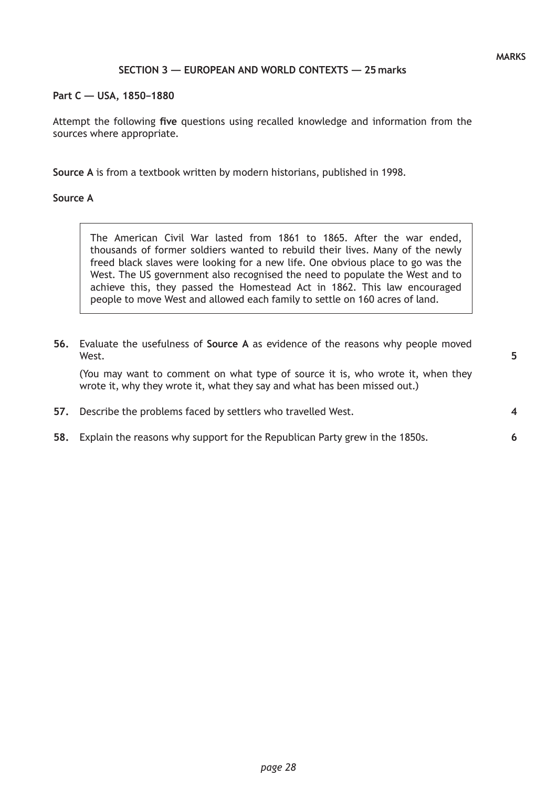## **SECTION 3 — EUROPEAN AND WORLD CONTEXTS — 25 marks**

**Part C — USA, 1850–1880**

Attempt the following **five** questions using recalled knowledge and information from the sources where appropriate.

**Source A** is from a textbook written by modern historians, published in 1998.

### **Source A**

The American Civil War lasted from 1861 to 1865. After the war ended, thousands of former soldiers wanted to rebuild their lives. Many of the newly freed black slaves were looking for a new life. One obvious place to go was the West. The US government also recognised the need to populate the West and to achieve this, they passed the Homestead Act in 1862. This law encouraged people to move West and allowed each family to settle on 160 acres of land.

| 56. Evaluate the usefulness of Source A as evidence of the reasons why people moved |  |  |  |  |  |
|-------------------------------------------------------------------------------------|--|--|--|--|--|
| West.                                                                               |  |  |  |  |  |

(You may want to comment on what type of source it is, who wrote it, when they wrote it, why they wrote it, what they say and what has been missed out.)

- **57.** Describe the problems faced by settlers who travelled West.
- **58.** Explain the reasons why support for the Republican Party grew in the 1850s.

**5**

**4**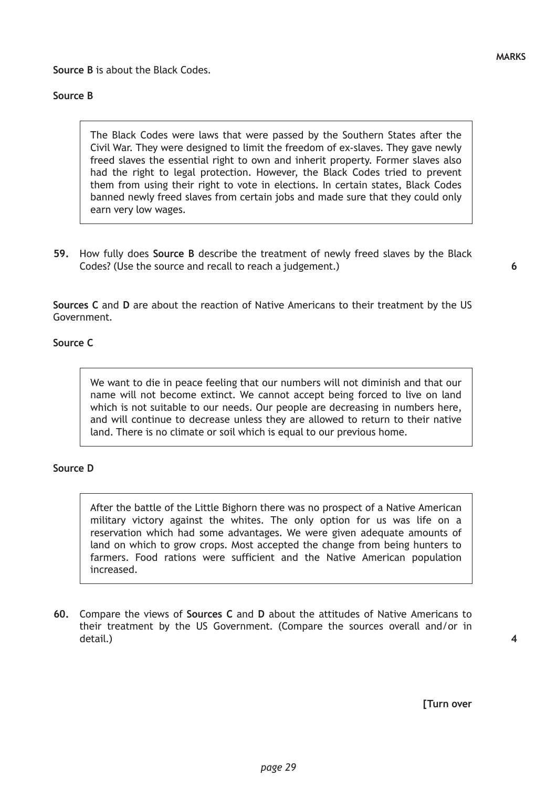# **Source B**

The Black Codes were laws that were passed by the Southern States after the Civil War. They were designed to limit the freedom of ex-slaves. They gave newly freed slaves the essential right to own and inherit property. Former slaves also had the right to legal protection. However, the Black Codes tried to prevent them from using their right to vote in elections. In certain states, Black Codes banned newly freed slaves from certain jobs and made sure that they could only earn very low wages.

**59.** How fully does **Source B** describe the treatment of newly freed slaves by the Black Codes? (Use the source and recall to reach a judgement.)

**6**

**4**

**Sources C** and **D** are about the reaction of Native Americans to their treatment by the US Government.

## **Source C**

We want to die in peace feeling that our numbers will not diminish and that our name will not become extinct. We cannot accept being forced to live on land which is not suitable to our needs. Our people are decreasing in numbers here, and will continue to decrease unless they are allowed to return to their native land. There is no climate or soil which is equal to our previous home.

## **Source D**

After the battle of the Little Bighorn there was no prospect of a Native American military victory against the whites. The only option for us was life on a reservation which had some advantages. We were given adequate amounts of land on which to grow crops. Most accepted the change from being hunters to farmers. Food rations were sufficient and the Native American population increased.

**60.** Compare the views of **Sources C** and **D** about the attitudes of Native Americans to their treatment by the US Government. (Compare the sources overall and/or in detail.)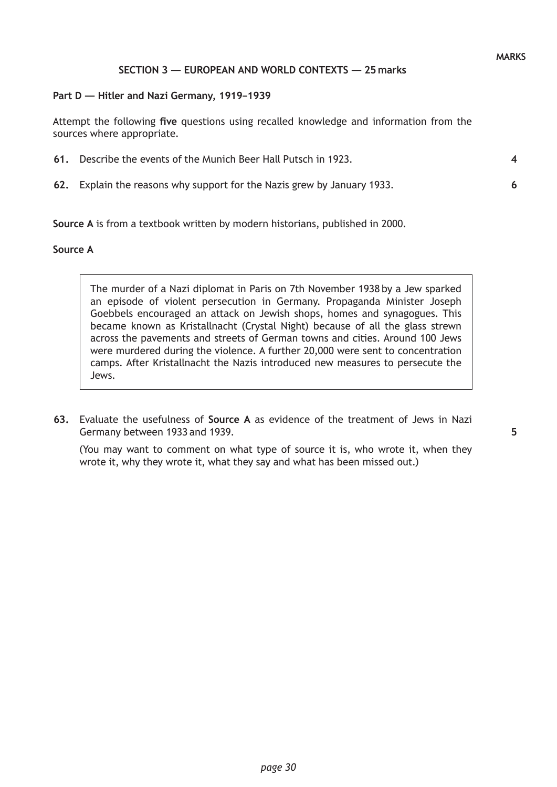**6**

### **SECTION 3 — EUROPEAN AND WORLD CONTEXTS — 25 marks**

#### **Part D — Hitler and Nazi Germany, 1919–1939**

Attempt the following **five** questions using recalled knowledge and information from the sources where appropriate.

**61.** Describe the events of the Munich Beer Hall Putsch in 1923.

**62.** Explain the reasons why support for the Nazis grew by January 1933.

**Source A** is from a textbook written by modern historians, published in 2000.

#### **Source A**

The murder of a Nazi diplomat in Paris on 7th November 1938 by a Jew sparked an episode of violent persecution in Germany. Propaganda Minister Joseph Goebbels encouraged an attack on Jewish shops, homes and synagogues. This became known as Kristallnacht (Crystal Night) because of all the glass strewn across the pavements and streets of German towns and cities. Around 100 Jews were murdered during the violence. A further 20,000 were sent to concentration camps. After Kristallnacht the Nazis introduced new measures to persecute the Jews.

**63.** Evaluate the usefulness of **Source A** as evidence of the treatment of Jews in Nazi Germany between 1933 and 1939.

(You may want to comment on what type of source it is, who wrote it, when they wrote it, why they wrote it, what they say and what has been missed out.)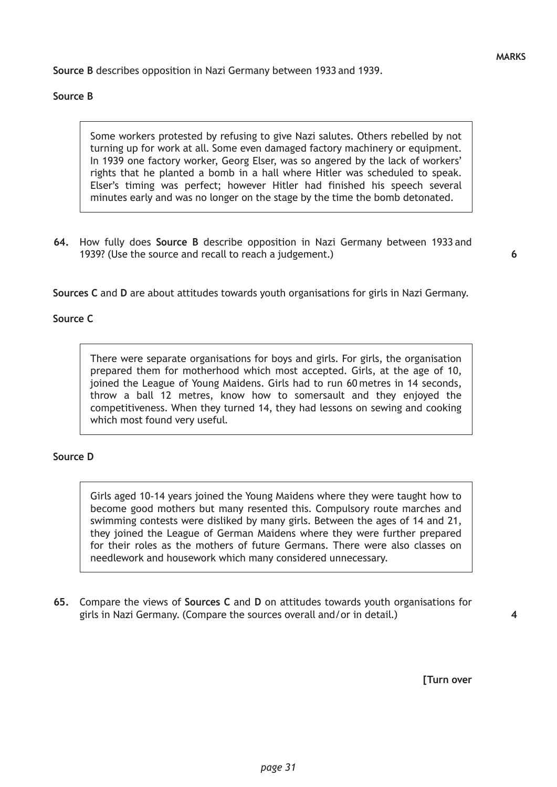**Source B** describes opposition in Nazi Germany between 1933 and 1939.

### **Source B**

Some workers protested by refusing to give Nazi salutes. Others rebelled by not turning up for work at all. Some even damaged factory machinery or equipment. In 1939 one factory worker, Georg Elser, was so angered by the lack of workers' rights that he planted a bomb in a hall where Hitler was scheduled to speak. Elser's timing was perfect; however Hitler had finished his speech several minutes early and was no longer on the stage by the time the bomb detonated.

**64.** How fully does **Source B** describe opposition in Nazi Germany between 1933 and 1939? (Use the source and recall to reach a judgement.)

**Sources C** and **D** are about attitudes towards youth organisations for girls in Nazi Germany.

### **Source C**

There were separate organisations for boys and girls. For girls, the organisation prepared them for motherhood which most accepted. Girls, at the age of 10, joined the League of Young Maidens. Girls had to run 60 metres in 14 seconds, throw a ball 12 metres, know how to somersault and they enjoyed the competitiveness. When they turned 14, they had lessons on sewing and cooking which most found very useful.

### **Source D**

Girls aged 10-14 years joined the Young Maidens where they were taught how to become good mothers but many resented this. Compulsory route marches and swimming contests were disliked by many girls. Between the ages of 14 and 21, they joined the League of German Maidens where they were further prepared for their roles as the mothers of future Germans. There were also classes on needlework and housework which many considered unnecessary.

**65.** Compare the views of **Sources C** and **D** on attitudes towards youth organisations for girls in Nazi Germany. (Compare the sources overall and/or in detail.)

**[Turn over**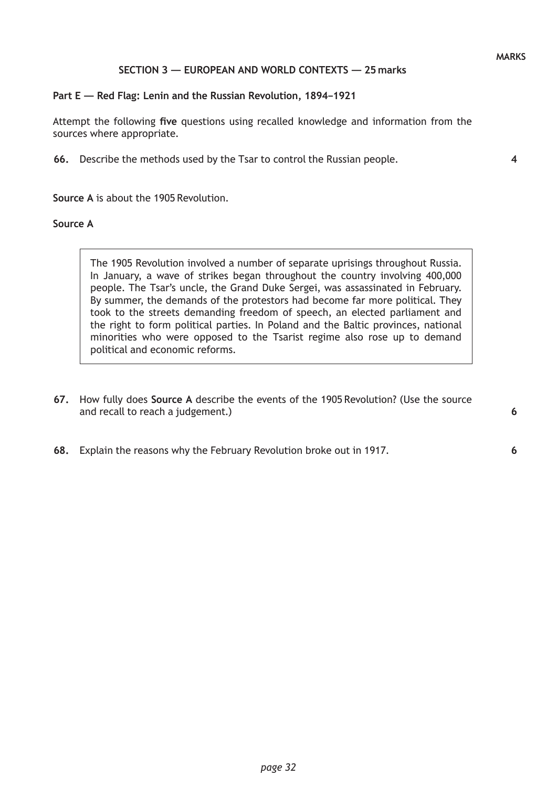## **SECTION 3 — EUROPEAN AND WORLD CONTEXTS — 25 marks**

#### **Part E — Red Flag: Lenin and the Russian Revolution, 1894–1921**

Attempt the following **five** questions using recalled knowledge and information from the sources where appropriate.

**66.** Describe the methods used by the Tsar to control the Russian people.

**Source A** is about the 1905 Revolution.

## **Source A**

The 1905 Revolution involved a number of separate uprisings throughout Russia. In January, a wave of strikes began throughout the country involving 400,000 people. The Tsar's uncle, the Grand Duke Sergei, was assassinated in February. By summer, the demands of the protestors had become far more political. They took to the streets demanding freedom of speech, an elected parliament and the right to form political parties. In Poland and the Baltic provinces, national minorities who were opposed to the Tsarist regime also rose up to demand political and economic reforms.

- **67.** How fully does **Source A** describe the events of the 1905 Revolution? (Use the source and recall to reach a judgement.)
- **68.** Explain the reasons why the February Revolution broke out in 1917.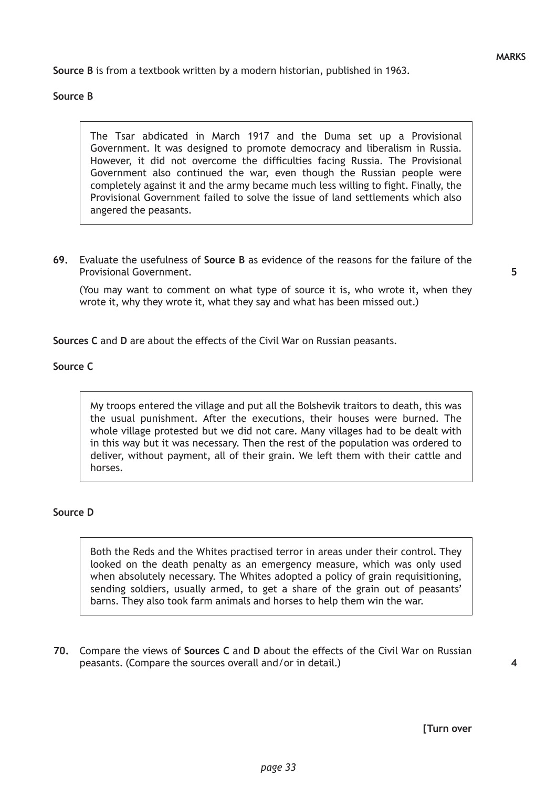**Source B** is from a textbook written by a modern historian, published in 1963.

### **Source B**

The Tsar abdicated in March 1917 and the Duma set up a Provisional Government. It was designed to promote democracy and liberalism in Russia. However, it did not overcome the difficulties facing Russia. The Provisional Government also continued the war, even though the Russian people were completely against it and the army became much less willing to fight. Finally, the Provisional Government failed to solve the issue of land settlements which also angered the peasants.

**69.** Evaluate the usefulness of **Source B** as evidence of the reasons for the failure of the Provisional Government.

(You may want to comment on what type of source it is, who wrote it, when they wrote it, why they wrote it, what they say and what has been missed out.)

**Sources C** and **D** are about the effects of the Civil War on Russian peasants.

### **Source C**

My troops entered the village and put all the Bolshevik traitors to death, this was the usual punishment. After the executions, their houses were burned. The whole village protested but we did not care. Many villages had to be dealt with in this way but it was necessary. Then the rest of the population was ordered to deliver, without payment, all of their grain. We left them with their cattle and horses.

#### **Source D**

Both the Reds and the Whites practised terror in areas under their control. They looked on the death penalty as an emergency measure, which was only used when absolutely necessary. The Whites adopted a policy of grain requisitioning, sending soldiers, usually armed, to get a share of the grain out of peasants' barns. They also took farm animals and horses to help them win the war.

**70.** Compare the views of **Sources C** and **D** about the effects of the Civil War on Russian peasants. (Compare the sources overall and/or in detail.)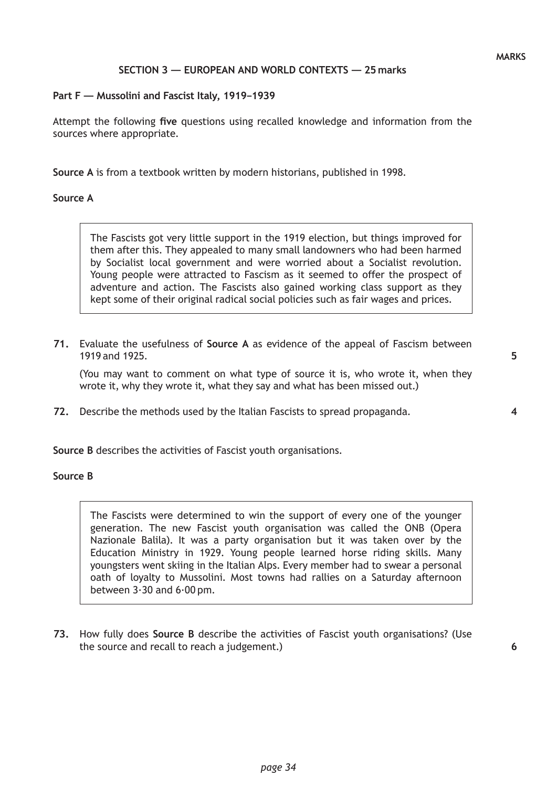## **SECTION 3 — EUROPEAN AND WORLD CONTEXTS — 25 marks**

## **Part F — Mussolini and Fascist Italy, 1919–1939**

Attempt the following **five** questions using recalled knowledge and information from the sources where appropriate.

**Source A** is from a textbook written by modern historians, published in 1998.

## **Source A**

The Fascists got very little support in the 1919 election, but things improved for them after this. They appealed to many small landowners who had been harmed by Socialist local government and were worried about a Socialist revolution. Young people were attracted to Fascism as it seemed to offer the prospect of adventure and action. The Fascists also gained working class support as they kept some of their original radical social policies such as fair wages and prices.

**71.** Evaluate the usefulness of **Source A** as evidence of the appeal of Fascism between 1919 and 1925.

(You may want to comment on what type of source it is, who wrote it, when they wrote it, why they wrote it, what they say and what has been missed out.)

**72.** Describe the methods used by the Italian Fascists to spread propaganda.

**Source B** describes the activities of Fascist youth organisations.

## **Source B**

The Fascists were determined to win the support of every one of the younger generation. The new Fascist youth organisation was called the ONB (Opera Nazionale Balila). It was a party organisation but it was taken over by the Education Ministry in 1929. Young people learned horse riding skills. Many youngsters went skiing in the Italian Alps. Every member had to swear a personal oath of loyalty to Mussolini. Most towns had rallies on a Saturday afternoon between 3·30 and 6·00 pm.

**73.** How fully does **Source B** describe the activities of Fascist youth organisations? (Use the source and recall to reach a judgement.)

**5**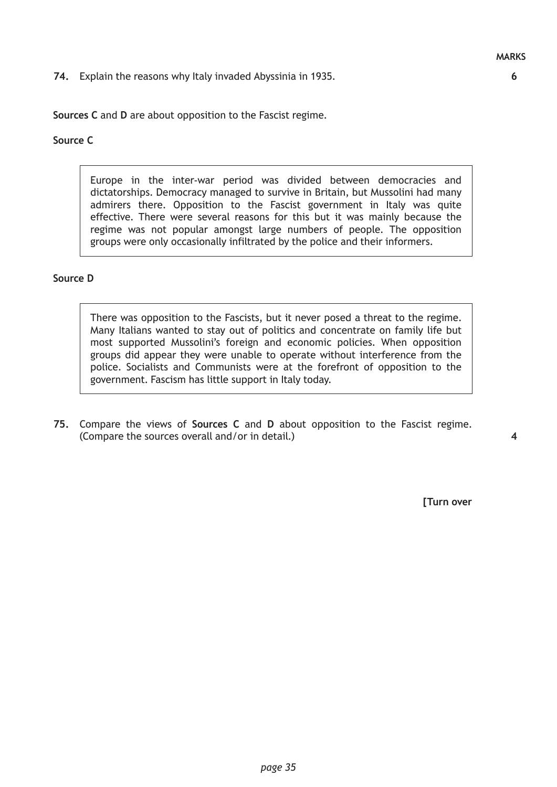### **74.** Explain the reasons why Italy invaded Abyssinia in 1935.

**Sources C** and **D** are about opposition to the Fascist regime.

## **Source C**

Europe in the inter-war period was divided between democracies and dictatorships. Democracy managed to survive in Britain, but Mussolini had many admirers there. Opposition to the Fascist government in Italy was quite effective. There were several reasons for this but it was mainly because the regime was not popular amongst large numbers of people. The opposition groups were only occasionally infiltrated by the police and their informers.

#### **Source D**

There was opposition to the Fascists, but it never posed a threat to the regime. Many Italians wanted to stay out of politics and concentrate on family life but most supported Mussolini's foreign and economic policies. When opposition groups did appear they were unable to operate without interference from the police. Socialists and Communists were at the forefront of opposition to the government. Fascism has little support in Italy today.

**75.** Compare the views of **Sources C** and **D** about opposition to the Fascist regime. (Compare the sources overall and/or in detail.)

**4**

**[Turn over**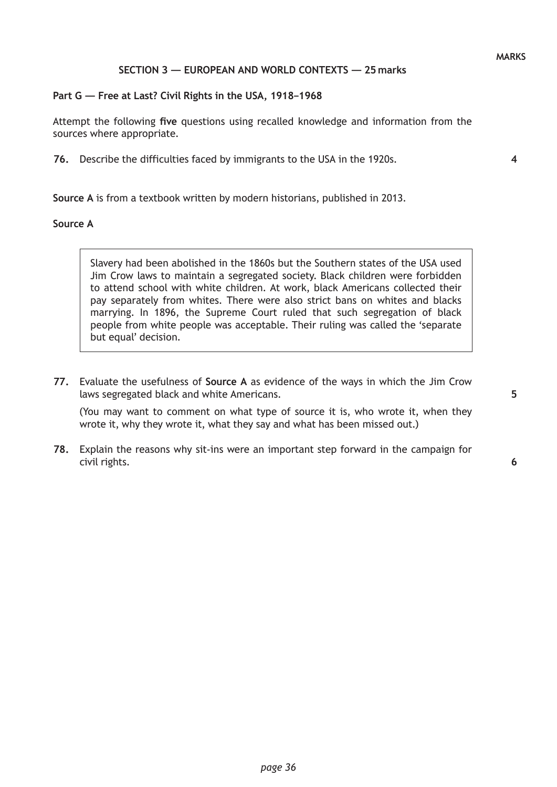### **SECTION 3 — EUROPEAN AND WORLD CONTEXTS — 25 marks**

### **Part G — Free at Last? Civil Rights in the USA, 1918–1968**

Attempt the following **five** questions using recalled knowledge and information from the sources where appropriate.

**76.** Describe the difficulties faced by immigrants to the USA in the 1920s.

**Source A** is from a textbook written by modern historians, published in 2013.

#### **Source A**

Slavery had been abolished in the 1860s but the Southern states of the USA used Jim Crow laws to maintain a segregated society. Black children were forbidden to attend school with white children. At work, black Americans collected their pay separately from whites. There were also strict bans on whites and blacks marrying. In 1896, the Supreme Court ruled that such segregation of black people from white people was acceptable. Their ruling was called the 'separate but equal' decision.

**77.** Evaluate the usefulness of **Source A** as evidence of the ways in which the Jim Crow laws segregated black and white Americans.

(You may want to comment on what type of source it is, who wrote it, when they wrote it, why they wrote it, what they say and what has been missed out.)

**78.** Explain the reasons why sit-ins were an important step forward in the campaign for civil rights.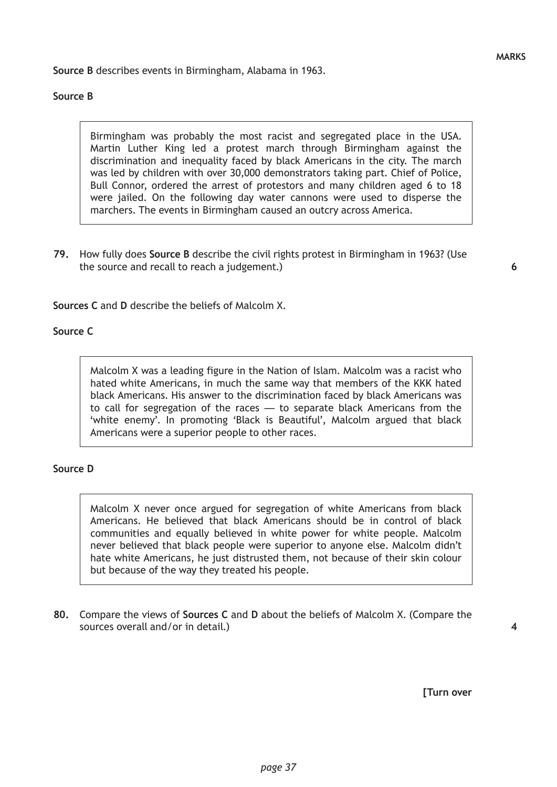**Source B** describes events in Birmingham, Alabama in 1963.

## **Source B**

Birmingham was probably the most racist and segregated place in the USA. Martin Luther King led a protest march through Birmingham against the discrimination and inequality faced by black Americans in the city. The march was led by children with over 30,000 demonstrators taking part. Chief of Police, Bull Connor, ordered the arrest of protestors and many children aged 6 to 18 were jailed. On the following day water cannons were used to disperse the marchers. The events in Birmingham caused an outcry across America.

**79.** How fully does **Source B** describe the civil rights protest in Birmingham in 1963? (Use the source and recall to reach a judgement.)

**6**

**Sources C** and **D** describe the beliefs of Malcolm X.

## **Source C**

Malcolm X was a leading figure in the Nation of Islam. Malcolm was a racist who hated white Americans, in much the same way that members of the KKK hated black Americans. His answer to the discrimination faced by black Americans was to call for segregation of the races — to separate black Americans from the 'white enemy'. In promoting 'Black is Beautiful', Malcolm argued that black Americans were a superior people to other races.

## **Source D**

Malcolm X never once argued for segregation of white Americans from black Americans. He believed that black Americans should be in control of black communities and equally believed in white power for white people. Malcolm never believed that black people were superior to anyone else. Malcolm didn't hate white Americans, he just distrusted them, not because of their skin colour but because of the way they treated his people.

**80.** Compare the views of **Sources C** and **D** about the beliefs of Malcolm X. (Compare the sources overall and/or in detail.)

**[Turn over**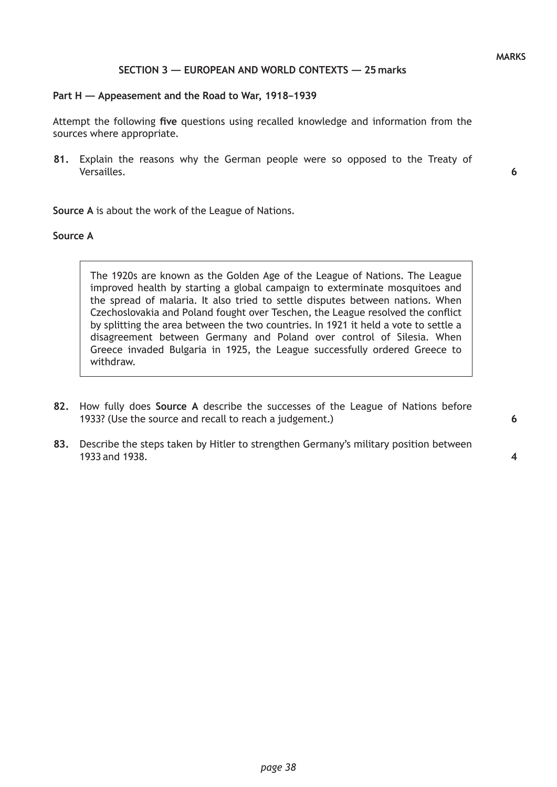### **SECTION 3 — EUROPEAN AND WORLD CONTEXTS — 25 marks**

#### **Part H — Appeasement and the Road to War, 1918–1939**

Attempt the following **five** questions using recalled knowledge and information from the sources where appropriate.

**81.** Explain the reasons why the German people were so opposed to the Treaty of Versailles.

**6**

**Source A** is about the work of the League of Nations.

#### **Source A**

The 1920s are known as the Golden Age of the League of Nations. The League improved health by starting a global campaign to exterminate mosquitoes and the spread of malaria. It also tried to settle disputes between nations. When Czechoslovakia and Poland fought over Teschen, the League resolved the conflict by splitting the area between the two countries. In 1921 it held a vote to settle a disagreement between Germany and Poland over control of Silesia. When Greece invaded Bulgaria in 1925, the League successfully ordered Greece to withdraw.

- **82.** How fully does **Source A** describe the successes of the League of Nations before 1933? (Use the source and recall to reach a judgement.)
- **83.** Describe the steps taken by Hitler to strengthen Germany's military position between 1933 and 1938.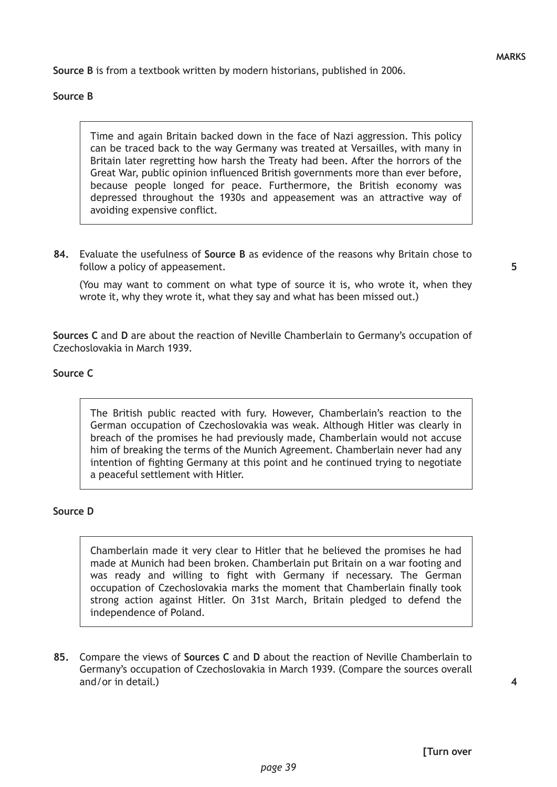**Source B** is from a textbook written by modern historians, published in 2006.

## **Source B**

Time and again Britain backed down in the face of Nazi aggression. This policy can be traced back to the way Germany was treated at Versailles, with many in Britain later regretting how harsh the Treaty had been. After the horrors of the Great War, public opinion influenced British governments more than ever before, because people longed for peace. Furthermore, the British economy was depressed throughout the 1930s and appeasement was an attractive way of avoiding expensive conflict.

**84.** Evaluate the usefulness of **Source B** as evidence of the reasons why Britain chose to follow a policy of appeasement.

(You may want to comment on what type of source it is, who wrote it, when they wrote it, why they wrote it, what they say and what has been missed out.)

**Sources C** and **D** are about the reaction of Neville Chamberlain to Germany's occupation of Czechoslovakia in March 1939.

### **Source C**

The British public reacted with fury. However, Chamberlain's reaction to the German occupation of Czechoslovakia was weak. Although Hitler was clearly in breach of the promises he had previously made, Chamberlain would not accuse him of breaking the terms of the Munich Agreement. Chamberlain never had any intention of fighting Germany at this point and he continued trying to negotiate a peaceful settlement with Hitler.

#### **Source D**

Chamberlain made it very clear to Hitler that he believed the promises he had made at Munich had been broken. Chamberlain put Britain on a war footing and was ready and willing to fight with Germany if necessary. The German occupation of Czechoslovakia marks the moment that Chamberlain finally took strong action against Hitler. On 31st March, Britain pledged to defend the independence of Poland.

**85.** Compare the views of **Sources C** and **D** about the reaction of Neville Chamberlain to Germany's occupation of Czechoslovakia in March 1939. (Compare the sources overall and/or in detail.)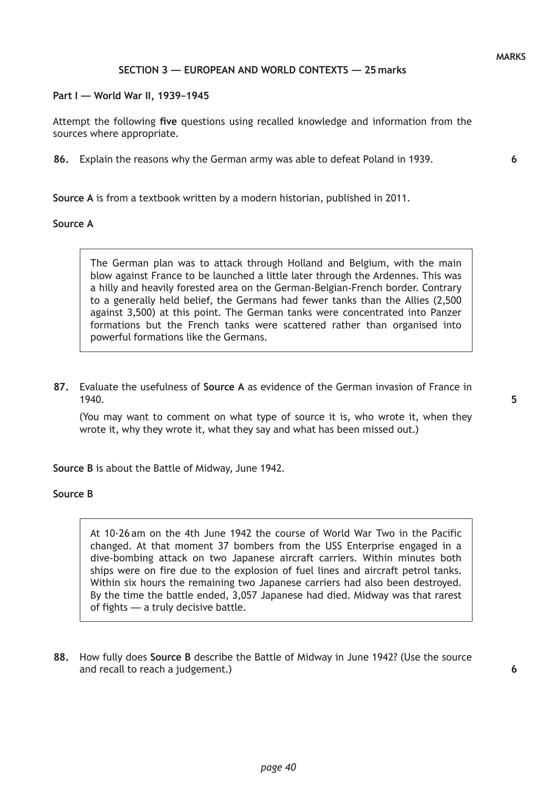### **SECTION 3 — EUROPEAN AND WORLD CONTEXTS — 25 marks**

**Part I — World War II, 1939–1945**

Attempt the following **five** questions using recalled knowledge and information from the sources where appropriate.

**86.** Explain the reasons why the German army was able to defeat Poland in 1939.

**Source A** is from a textbook written by a modern historian, published in 2011.

#### **Source A**

The German plan was to attack through Holland and Belgium, with the main blow against France to be launched a little later through the Ardennes. This was a hilly and heavily forested area on the German-Belgian-French border. Contrary to a generally held belief, the Germans had fewer tanks than the Allies (2,500 against 3,500) at this point. The German tanks were concentrated into Panzer formations but the French tanks were scattered rather than organised into powerful formations like the Germans.

**87.** Evaluate the usefulness of **Source A** as evidence of the German invasion of France in 1940.

(You may want to comment on what type of source it is, who wrote it, when they wrote it, why they wrote it, what they say and what has been missed out.)

**Source B** is about the Battle of Midway, June 1942.

#### **Source B**

At 10·26 am on the 4th June 1942 the course of World War Two in the Pacific changed. At that moment 37 bombers from the USS Enterprise engaged in a dive-bombing attack on two Japanese aircraft carriers. Within minutes both ships were on fire due to the explosion of fuel lines and aircraft petrol tanks. Within six hours the remaining two Japanese carriers had also been destroyed. By the time the battle ended, 3,057 Japanese had died. Midway was that rarest of fights — a truly decisive battle.

**88.** How fully does **Source B** describe the Battle of Midway in June 1942? (Use the source and recall to reach a judgement.)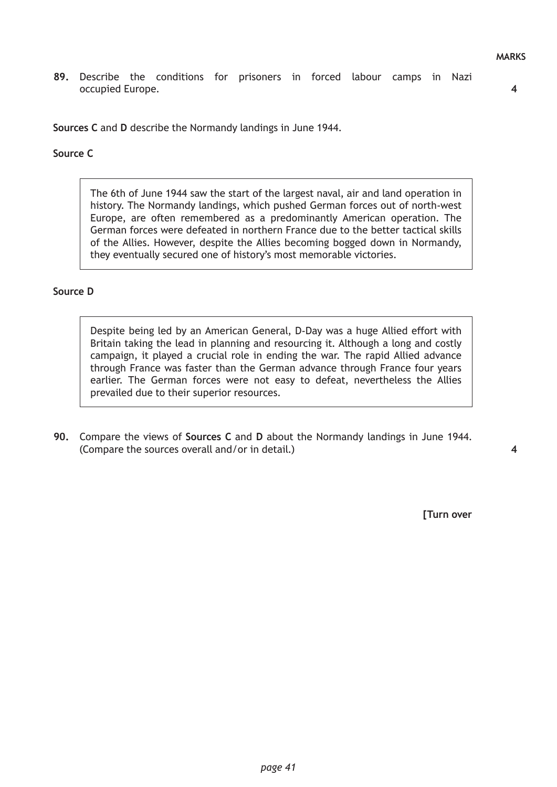**89.** Describe the conditions for prisoners in forced labour camps in Nazi occupied Europe.

**4**

**Sources C** and **D** describe the Normandy landings in June 1944.

# **Source C**

The 6th of June 1944 saw the start of the largest naval, air and land operation in history. The Normandy landings, which pushed German forces out of north-west Europe, are often remembered as a predominantly American operation. The German forces were defeated in northern France due to the better tactical skills of the Allies. However, despite the Allies becoming bogged down in Normandy, they eventually secured one of history's most memorable victories.

### **Source D**

Despite being led by an American General, D-Day was a huge Allied effort with Britain taking the lead in planning and resourcing it. Although a long and costly campaign, it played a crucial role in ending the war. The rapid Allied advance through France was faster than the German advance through France four years earlier. The German forces were not easy to defeat, nevertheless the Allies prevailed due to their superior resources.

**90.** Compare the views of **Sources C** and **D** about the Normandy landings in June 1944. (Compare the sources overall and/or in detail.)

**[Turn over**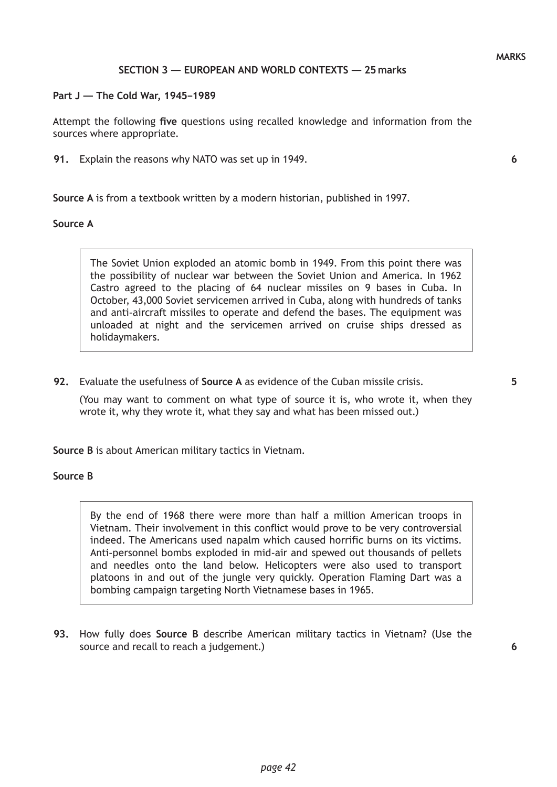### **SECTION 3 — EUROPEAN AND WORLD CONTEXTS — 25 marks**

#### **Part J — The Cold War, 1945–1989**

Attempt the following **five** questions using recalled knowledge and information from the sources where appropriate.

**91.** Explain the reasons why NATO was set up in 1949.

**Source A** is from a textbook written by a modern historian, published in 1997.

#### **Source A**

The Soviet Union exploded an atomic bomb in 1949. From this point there was the possibility of nuclear war between the Soviet Union and America. In 1962 Castro agreed to the placing of 64 nuclear missiles on 9 bases in Cuba. In October, 43,000 Soviet servicemen arrived in Cuba, along with hundreds of tanks and anti-aircraft missiles to operate and defend the bases. The equipment was unloaded at night and the servicemen arrived on cruise ships dressed as holidaymakers.

**92.** Evaluate the usefulness of **Source A** as evidence of the Cuban missile crisis.

(You may want to comment on what type of source it is, who wrote it, when they wrote it, why they wrote it, what they say and what has been missed out.)

**Source B** is about American military tactics in Vietnam.

## **Source B**

By the end of 1968 there were more than half a million American troops in Vietnam. Their involvement in this conflict would prove to be very controversial indeed. The Americans used napalm which caused horrific burns on its victims. Anti-personnel bombs exploded in mid-air and spewed out thousands of pellets and needles onto the land below. Helicopters were also used to transport platoons in and out of the jungle very quickly. Operation Flaming Dart was a bombing campaign targeting North Vietnamese bases in 1965.

**93.** How fully does **Source B** describe American military tactics in Vietnam? (Use the source and recall to reach a judgement.)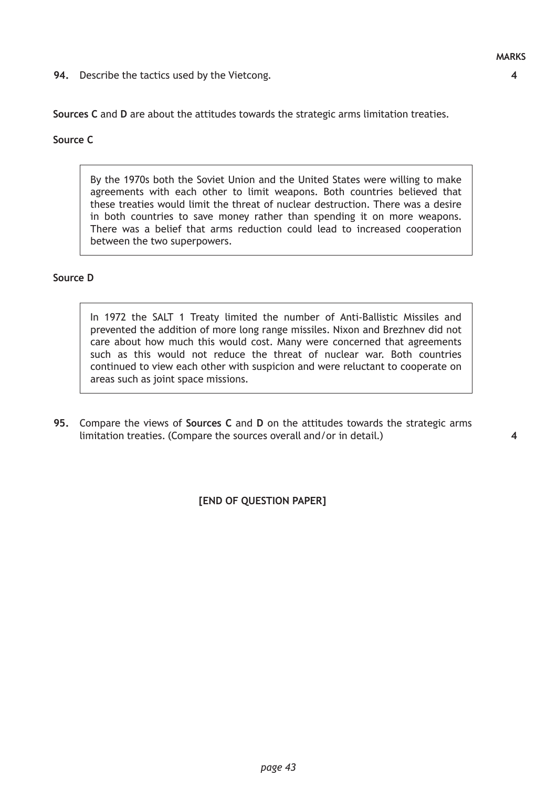**94.** Describe the tactics used by the Vietcong.

**4**

**Sources C** and **D** are about the attitudes towards the strategic arms limitation treaties.

## **Source C**

By the 1970s both the Soviet Union and the United States were willing to make agreements with each other to limit weapons. Both countries believed that these treaties would limit the threat of nuclear destruction. There was a desire in both countries to save money rather than spending it on more weapons. There was a belief that arms reduction could lead to increased cooperation between the two superpowers.

## **Source D**

In 1972 the SALT 1 Treaty limited the number of Anti-Ballistic Missiles and prevented the addition of more long range missiles. Nixon and Brezhnev did not care about how much this would cost. Many were concerned that agreements such as this would not reduce the threat of nuclear war. Both countries continued to view each other with suspicion and were reluctant to cooperate on areas such as joint space missions.

**95.** Compare the views of **Sources C** and **D** on the attitudes towards the strategic arms limitation treaties. (Compare the sources overall and/or in detail.)

**4**

**[END OF QUESTION PAPER]**